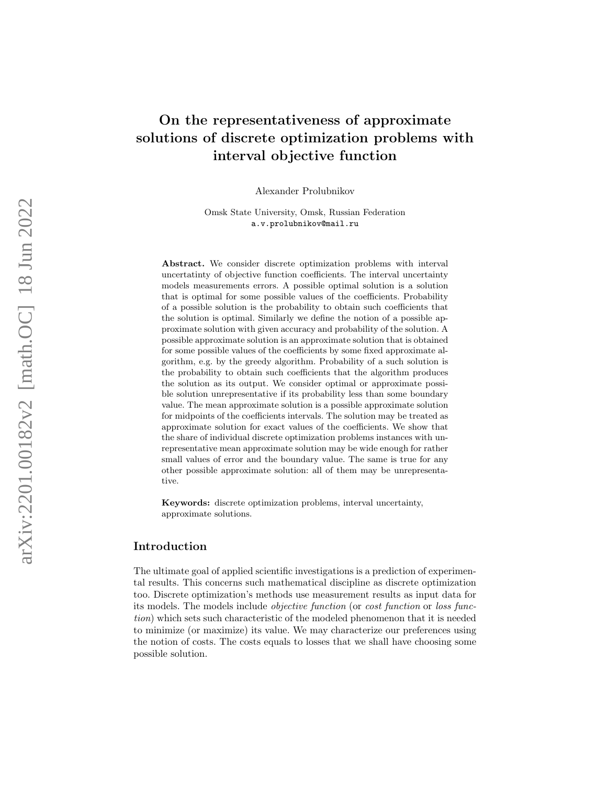# On the representativeness of approximate solutions of discrete optimization problems with interval objective function

Alexander Prolubnikov

Omsk State University, Omsk, Russian Federation a.v.prolubnikov@mail.ru

Abstract. We consider discrete optimization problems with interval uncertatinty of objective function coefficients. The interval uncertainty models measurements errors. A possible optimal solution is a solution that is optimal for some possible values of the coefficients. Probability of a possible solution is the probability to obtain such coefficients that the solution is optimal. Similarly we define the notion of a possible approximate solution with given accuracy and probability of the solution. A possible approximate solution is an approximate solution that is obtained for some possible values of the coefficients by some fixed approximate algorithm, e.g. by the greedy algorithm. Probability of a such solution is the probability to obtain such coefficients that the algorithm produces the solution as its output. We consider optimal or approximate possible solution unrepresentative if its probability less than some boundary value. The mean approximate solution is a possible approximate solution for midpoints of the coefficients intervals. The solution may be treated as approximate solution for exact values of the coefficients. We show that the share of individual discrete optimization problems instances with unrepresentative mean approximate solution may be wide enough for rather small values of error and the boundary value. The same is true for any other possible approximate solution: all of them may be unrepresentative.

Keywords: discrete optimization problems, interval uncertainty, approximate solutions.

# Introduction

The ultimate goal of applied scientific investigations is a prediction of experimental results. This concerns such mathematical discipline as discrete optimization too. Discrete optimization's methods use measurement results as input data for its models. The models include objective function (or cost function or loss function) which sets such characteristic of the modeled phenomenon that it is needed to minimize (or maximize) its value. We may characterize our preferences using the notion of costs. The costs equals to losses that we shall have choosing some possible solution.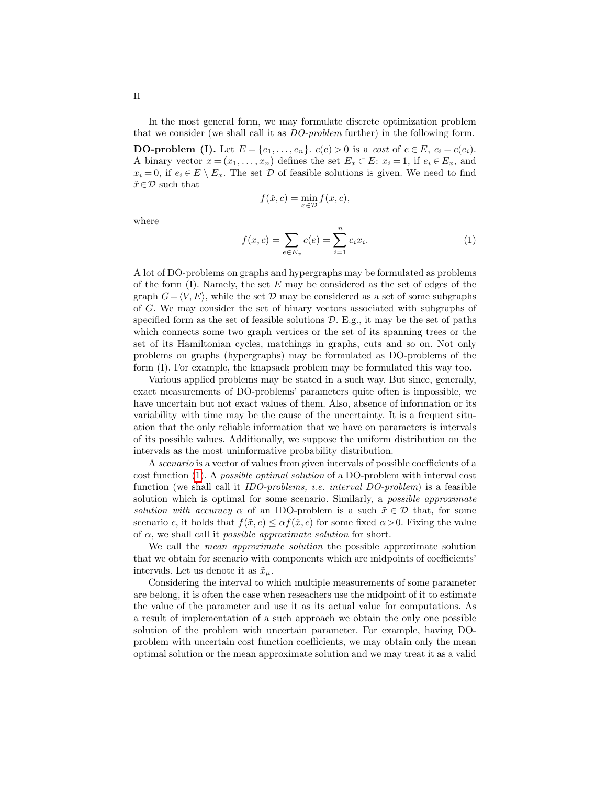In the most general form, we may formulate discrete optimization problem that we consider (we shall call it as DO-problem further) in the following form.

**DO-problem (I).** Let  $E = \{e_1, ..., e_n\}$ .  $c(e) > 0$  is a cost of  $e \in E$ ,  $c_i = c(e_i)$ . A binary vector  $x = (x_1, \ldots, x_n)$  defines the set  $E_x \subset E$ :  $x_i = 1$ , if  $e_i \in E_x$ , and  $x_i = 0$ , if  $e_i \in E \setminus E_x$ . The set  $\mathcal D$  of feasible solutions is given. We need to find  $\check{x} \!\in\! \mathcal{D}$  such that

$$
f(\check{x}, c) = \min_{x \in \mathcal{D}} f(x, c),
$$

where

<span id="page-1-0"></span>
$$
f(x, c) = \sum_{e \in E_x} c(e) = \sum_{i=1}^n c_i x_i.
$$
 (1)

A lot of DO-problems on graphs and hypergraphs may be formulated as problems of the form  $(I)$ . Namely, the set E may be considered as the set of edges of the graph  $G=\langle V, E \rangle$ , while the set D may be considered as a set of some subgraphs of G. We may consider the set of binary vectors associated with subgraphs of specified form as the set of feasible solutions  $D$ . E.g., it may be the set of paths which connects some two graph vertices or the set of its spanning trees or the set of its Hamiltonian cycles, matchings in graphs, cuts and so on. Not only problems on graphs (hypergraphs) may be formulated as DO-problems of the form (I). For example, the knapsack problem may be formulated this way too.

Various applied problems may be stated in a such way. But since, generally, exact measurements of DO-problems' parameters quite often is impossible, we have uncertain but not exact values of them. Also, absence of information or its variability with time may be the cause of the uncertainty. It is a frequent situation that the only reliable information that we have on parameters is intervals of its possible values. Additionally, we suppose the uniform distribution on the intervals as the most uninformative probability distribution.

A scenario is a vector of values from given intervals of possible coefficients of a cost function [\(1\)](#page-1-0). A possible optimal solution of a DO-problem with interval cost function (we shall call it IDO-problems, i.e. interval DO-problem) is a feasible solution which is optimal for some scenario. Similarly, a *possible approximate* solution with accuracy  $\alpha$  of an IDO-problem is a such  $\tilde{x} \in \mathcal{D}$  that, for some scenario c, it holds that  $f(\tilde{x}, c) \leq \alpha f(\tilde{x}, c)$  for some fixed  $\alpha > 0$ . Fixing the value of  $\alpha$ , we shall call it *possible approximate solution* for short.

We call the *mean approximate solution* the possible approximate solution that we obtain for scenario with components which are midpoints of coefficients' intervals. Let us denote it as  $\tilde{x}_{\mu}$ .

Considering the interval to which multiple measurements of some parameter are belong, it is often the case when reseachers use the midpoint of it to estimate the value of the parameter and use it as its actual value for computations. As a result of implementation of a such approach we obtain the only one possible solution of the problem with uncertain parameter. For example, having DOproblem with uncertain cost function coefficients, we may obtain only the mean optimal solution or the mean approximate solution and we may treat it as a valid

II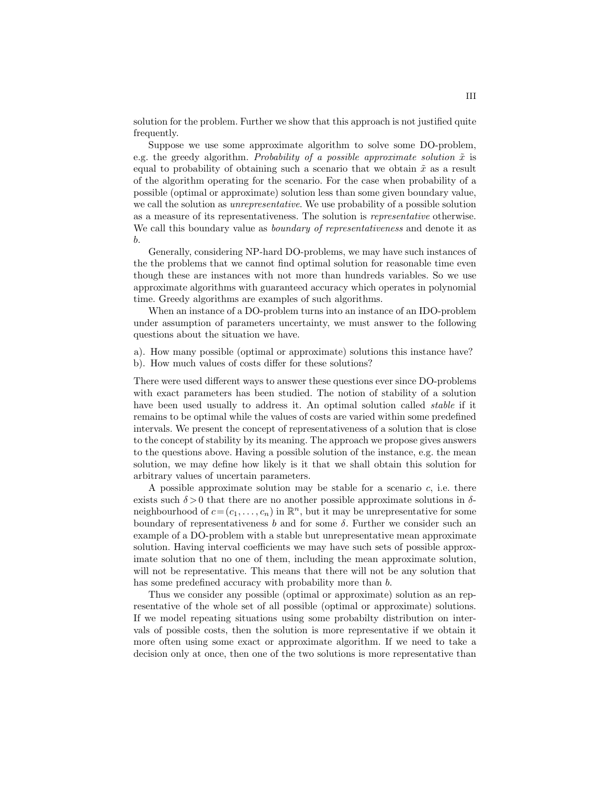solution for the problem. Further we show that this approach is not justified quite frequently.

Suppose we use some approximate algorithm to solve some DO-problem, e.g. the greedy algorithm. Probability of a possible approximate solution  $\tilde{x}$  is equal to probability of obtaining such a scenario that we obtain  $\tilde{x}$  as a result of the algorithm operating for the scenario. For the case when probability of a possible (optimal or approximate) solution less than some given boundary value, we call the solution as unrepresentative. We use probability of a possible solution as a measure of its representativeness. The solution is representative otherwise. We call this boundary value as *boundary of representativeness* and denote it as b.

Generally, considering NP-hard DO-problems, we may have such instances of the the problems that we cannot find optimal solution for reasonable time even though these are instances with not more than hundreds variables. So we use approximate algorithms with guaranteed accuracy which operates in polynomial time. Greedy algorithms are examples of such algorithms.

When an instance of a DO-problem turns into an instance of an IDO-problem under assumption of parameters uncertainty, we must answer to the following questions about the situation we have.

a). How many possible (optimal or approximate) solutions this instance have? b). How much values of costs differ for these solutions?

There were used different ways to answer these questions ever since DO-problems with exact parameters has been studied. The notion of stability of a solution have been used usually to address it. An optimal solution called *stable* if it remains to be optimal while the values of costs are varied within some predefined intervals. We present the concept of representativeness of a solution that is close to the concept of stability by its meaning. The approach we propose gives answers to the questions above. Having a possible solution of the instance, e.g. the mean solution, we may define how likely is it that we shall obtain this solution for arbitrary values of uncertain parameters.

A possible approximate solution may be stable for a scenario  $c$ , i.e. there exists such  $\delta > 0$  that there are no another possible approximate solutions in  $\delta$ neighbourhood of  $c = (c_1, \ldots, c_n)$  in  $\mathbb{R}^n$ , but it may be unrepresentative for some boundary of representativeness  $b$  and for some  $\delta$ . Further we consider such an example of a DO-problem with a stable but unrepresentative mean approximate solution. Having interval coefficients we may have such sets of possible approximate solution that no one of them, including the mean approximate solution, will not be representative. This means that there will not be any solution that has some predefined accuracy with probability more than b.

Thus we consider any possible (optimal or approximate) solution as an representative of the whole set of all possible (optimal or approximate) solutions. If we model repeating situations using some probabilty distribution on intervals of possible costs, then the solution is more representative if we obtain it more often using some exact or approximate algorithm. If we need to take a decision only at once, then one of the two solutions is more representative than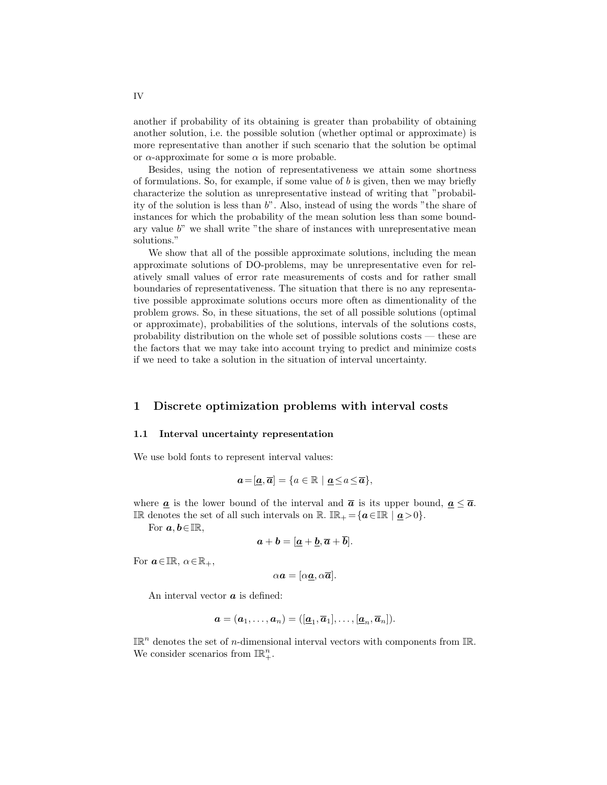another if probability of its obtaining is greater than probability of obtaining another solution, i.e. the possible solution (whether optimal or approximate) is more representative than another if such scenario that the solution be optimal or α-approximate for some α is more probable.

Besides, using the notion of representativeness we attain some shortness of formulations. So, for example, if some value of b is given, then we may briefly characterize the solution as unrepresentative instead of writing that "probability of the solution is less than  $b$ ". Also, instead of using the words "the share of instances for which the probability of the mean solution less than some boundary value  $b$ " we shall write "the share of instances with unrepresentative mean solutions."

We show that all of the possible approximate solutions, including the mean approximate solutions of DO-problems, may be unrepresentative even for relatively small values of error rate measurements of costs and for rather small boundaries of representativeness. The situation that there is no any representative possible approximate solutions occurs more often as dimentionality of the problem grows. So, in these situations, the set of all possible solutions (optimal or approximate), probabilities of the solutions, intervals of the solutions costs, probability distribution on the whole set of possible solutions costs — these are the factors that we may take into account trying to predict and minimize costs if we need to take a solution in the situation of interval uncertainty.

### 1 Discrete optimization problems with interval costs

#### 1.1 Interval uncertainty representation

We use bold fonts to represent interval values:

$$
\mathbf{a} = [\mathbf{a}, \overline{\mathbf{a}}] = \{a \in \mathbb{R} \mid \mathbf{a} \le a \le \overline{\mathbf{a}}\},\
$$

where  $\boldsymbol{a}$  is the lower bound of the interval and  $\boldsymbol{\bar{a}}$  is its upper bound,  $\boldsymbol{a} \leq \boldsymbol{\bar{a}}$ . IR denotes the set of all such intervals on R. IR<sub>+</sub> = { $a \in \mathbb{IR} \mid a > 0$  }.

For  $a, b \in \mathbb{IR}$ ,

$$
a+b=[\underline{a}+\underline{b},\overline{a}+\overline{b}].
$$

For  $a \in \mathbb{IR}, \, \alpha \in \mathbb{R}_+,$ 

$$
\alpha \mathbf{a} = [\alpha \underline{\mathbf{a}}, \alpha \overline{\mathbf{a}}].
$$

An interval vector  $\boldsymbol{a}$  is defined:

$$
\boldsymbol{a} = (\boldsymbol{a}_1, \ldots, \boldsymbol{a}_n) = ([\underline{\boldsymbol{a}}_1, \overline{\boldsymbol{a}}_1], \ldots, [\underline{\boldsymbol{a}}_n, \overline{\boldsymbol{a}}_n]).
$$

 $\mathbb{IR}^n$  denotes the set of *n*-dimensional interval vectors with components from  $\mathbb{IR}$ . We consider scenarios from  $\mathbb{IR}^n_+$ .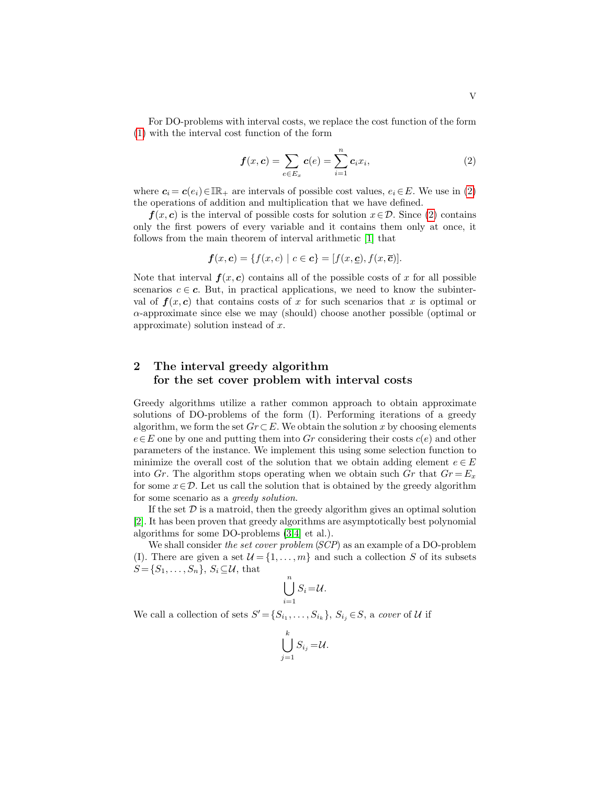For DO-problems with interval costs, we replace the cost function of the form [\(1\)](#page-1-0) with the interval cost function of the form

<span id="page-4-0"></span>
$$
\boldsymbol{f}(x,\boldsymbol{c}) = \sum_{e \in E_x} \boldsymbol{c}(e) = \sum_{i=1}^n c_i x_i,\tag{2}
$$

where  $c_i = c(e_i) \in \mathbb{IR}_+$  are intervals of possible cost values,  $e_i \in E$ . We use in [\(2\)](#page-4-0) the operations of addition and multiplication that we have defined.

 $f(x, c)$  is the interval of possible costs for solution  $x \in \mathcal{D}$ . Since [\(2\)](#page-4-0) contains only the first powers of every variable and it contains them only at once, it follows from the main theorem of interval arithmetic [\[1\]](#page-13-0) that

$$
\boldsymbol{f}(x,\boldsymbol{c}) = \{f(x,c) \mid c \in \boldsymbol{c}\} = [f(x,\underline{\boldsymbol{c}}), f(x,\overline{\boldsymbol{c}})].
$$

Note that interval  $f(x, c)$  contains all of the possible costs of x for all possible scenarios  $c \in \mathbf{c}$ . But, in practical applications, we need to know the subinterval of  $f(x, c)$  that contains costs of x for such scenarios that x is optimal or  $\alpha$ -approximate since else we may (should) choose another possible (optimal or approximate) solution instead of x.

# 2 The interval greedy algorithm for the set cover problem with interval costs

Greedy algorithms utilize a rather common approach to obtain approximate solutions of DO-problems of the form (I). Performing iterations of a greedy algorithm, we form the set  $Gr \subset E$ . We obtain the solution x by choosing elements  $e \in E$  one by one and putting them into Gr considering their costs  $c(e)$  and other parameters of the instance. We implement this using some selection function to minimize the overall cost of the solution that we obtain adding element  $e \in E$ into Gr. The algorithm stops operating when we obtain such Gr that  $Gr = E_x$ for some  $x \in \mathcal{D}$ . Let us call the solution that is obtained by the greedy algorithm for some scenario as a greedy solution.

If the set  $\mathcal D$  is a matroid, then the greedy algorithm gives an optimal solution [\[2\]](#page-14-0). It has been proven that greedy algorithms are asymptotically best polynomial algorithms for some DO-problems  $(3,4]$  $(3,4]$  et al.).

We shall consider the set cover problem (SCP) as an example of a DO-problem (I). There are given a set  $\mathcal{U} = \{1, \ldots, m\}$  and such a collection S of its subsets  $S = \{S_1, \ldots, S_n\}, S_i \subseteq \mathcal{U}$ , that

$$
\bigcup_{i=1}^n S_i = \mathcal{U}.
$$

We call a collection of sets  $S' = \{S_{i_1}, \ldots, S_{i_k}\}, S_{i_j} \in S$ , a cover of U if

$$
\bigcup_{j=1}^k S_{i_j} = \mathcal{U}.
$$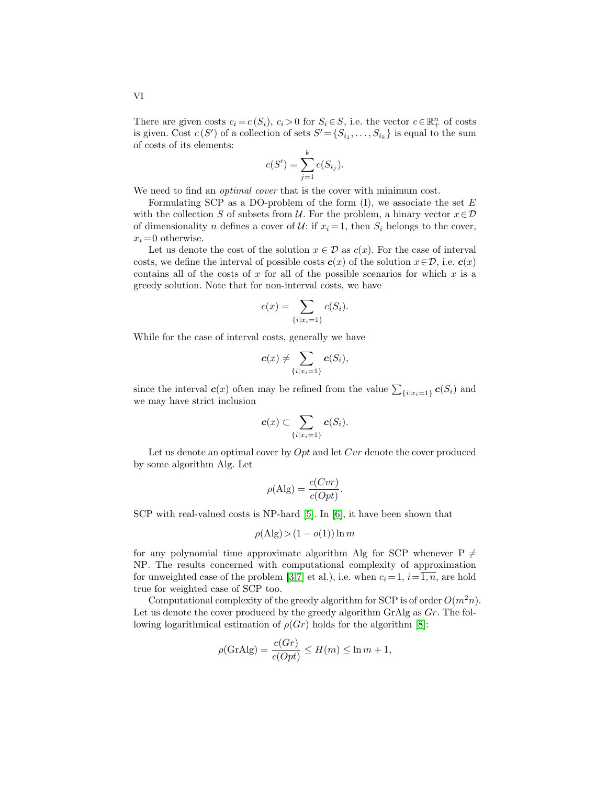VI

There are given costs  $c_i = c(S_i)$ ,  $c_i > 0$  for  $S_i \in S$ , i.e. the vector  $c \in \mathbb{R}^n_+$  of costs is given. Cost  $c(S')$  of a collection of sets  $S' = \{S_{i_1}, \ldots, S_{i_k}\}\$ is equal to the sum of costs of its elements:

$$
c(S') = \sum_{j=1}^{k} c(S_{i_j}).
$$

We need to find an *optimal cover* that is the cover with minimum cost.

Formulating SCP as a DO-problem of the form  $(I)$ , we associate the set E with the collection S of subsets from U. For the problem, a binary vector  $x \in \mathcal{D}$ of dimensionality n defines a cover of  $\mathcal{U}$ : if  $x_i = 1$ , then  $S_i$  belongs to the cover,  $x_i = 0$  otherwise.

Let us denote the cost of the solution  $x \in \mathcal{D}$  as  $c(x)$ . For the case of interval costs, we define the interval of possible costs  $c(x)$  of the solution  $x \in \mathcal{D}$ , i.e.  $c(x)$ contains all of the costs of  $x$  for all of the possible scenarios for which  $x$  is a greedy solution. Note that for non-interval costs, we have

$$
c(x) = \sum_{\{i \mid x_i = 1\}} c(S_i).
$$

While for the case of interval costs, generally we have

$$
\boldsymbol{c}(x) \neq \sum_{\{i \mid x_i = 1\}} \boldsymbol{c}(S_i),
$$

since the interval  $\boldsymbol{c}(x)$  often may be refined from the value  $\sum_{\{i|x_i=1\}} \boldsymbol{c}(S_i)$  and we may have strict inclusion

$$
\boldsymbol{c}(x) \subset \sum_{\{i \mid x_i = 1\}} \boldsymbol{c}(S_i).
$$

Let us denote an optimal cover by  $Opt$  and let  $Cvr$  denote the cover produced by some algorithm Alg. Let

$$
\rho(\text{Alg}) = \frac{c(Cvr)}{c(Opt)}.
$$

SCP with real-valued costs is NP-hard [\[5\]](#page-14-3). In [\[6\]](#page-14-4), it have been shown that

$$
\rho(\text{Alg}) > (1 - o(1)) \ln m
$$

for any polynomial time approximate algorithm Alg for SCP whenever  $P \neq$ NP. The results concerned with computational complexity of approximation for unweighted case of the problem  $(3,7]$  $(3,7]$  et al.), i.e. when  $c_i = 1$ ,  $i = \overline{1,n}$ , are hold true for weighted case of SCP too.

Computational complexity of the greedy algorithm for SCP is of order  $O(m^2n)$ . Let us denote the cover produced by the greedy algorithm GrAlg as  $Gr$ . The following logarithmical estimation of  $\rho(\mathbb{G}r)$  holds for the algorithm [\[8\]](#page-14-6):

$$
\rho(\text{GrAlg}) = \frac{c(Gr)}{c(Opt)} \le H(m) \le \ln m + 1,
$$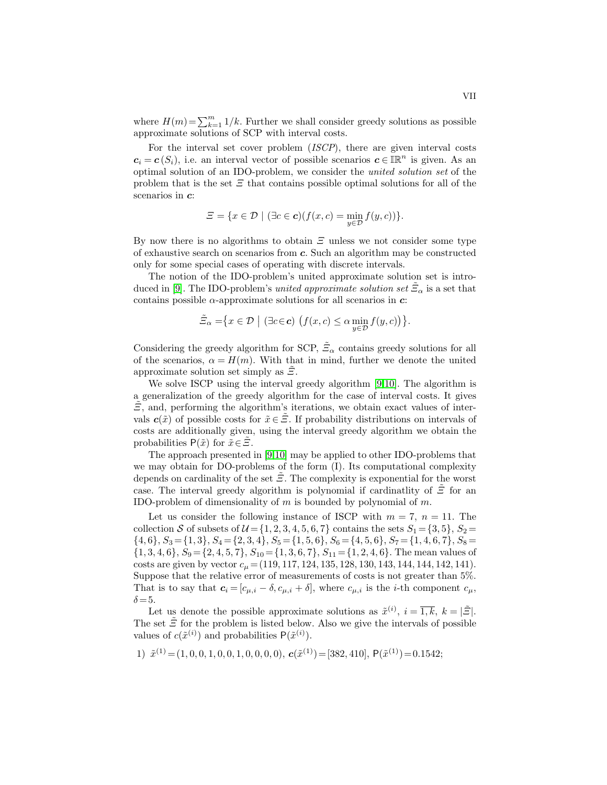where  $H(m) = \sum_{k=1}^{m} 1/k$ . Further we shall consider greedy solutions as possible approximate solutions of SCP with interval costs.

For the interval set cover problem (ISCP), there are given interval costs  $c_i = c(S_i)$ , i.e. an interval vector of possible scenarios  $c \in \mathbb{R}^n$  is given. As an optimal solution of an IDO-problem, we consider the united solution set of the problem that is the set  $\mathcal E$  that contains possible optimal solutions for all of the scenarios in  $c$ :

$$
\Xi = \{x \in \mathcal{D} \mid (\exists c \in \mathbf{c})(f(x, c) = \min_{y \in \mathcal{D}} f(y, c))\}.
$$

By now there is no algorithms to obtain  $\mathcal Z$  unless we not consider some type of exhaustive search on scenarios from c. Such an algorithm may be constructed only for some special cases of operating with discrete intervals.

The notion of the IDO-problem's united approximate solution set is intro-duced in [\[9\]](#page-14-7). The IDO-problem's *united approximate solution set*  $\tilde{\Xi}_{\alpha}$  is a set that contains possible  $\alpha$ -approximate solutions for all scenarios in  $c$ :

$$
\tilde{\Xi}_{\alpha} = \{ x \in \mathcal{D} \mid (\exists c \in \mathbf{c}) \left( f(x, c) \le \alpha \min_{y \in \mathcal{D}} f(y, c) \right) \}.
$$

Considering the greedy algorithm for SCP,  $\tilde{\Xi}_{\alpha}$  contains greedy solutions for all of the scenarios,  $\alpha = H(m)$ . With that in mind, further we denote the united approximate solution set simply as  $\Xi$ .

We solve ISCP using the interval greedy algorithm [\[9,](#page-14-7)[10\]](#page-14-8). The algorithm is a generalization of the greedy algorithm for the case of interval costs. It gives  $\tilde{\Xi}$ , and, performing the algorithm's iterations, we obtain exact values of intervals  $c(\tilde{x})$  of possible costs for  $\tilde{x} \in \tilde{\Xi}$ . If probability distributions on intervals of costs are additionally given, using the interval greedy algorithm we obtain the probabilities  $P(\tilde{x})$  for  $\tilde{x} \in \tilde{\Xi}$ .

The approach presented in [\[9,](#page-14-7)[10\]](#page-14-8) may be applied to other IDO-problems that we may obtain for DO-problems of the form (I). Its computational complexity depends on cardinality of the set  $\mathcal{Z}$ . The complexity is exponential for the worst case. The interval greedy algorithm is polynomial if cardinatlity of  $\tilde{\mathcal{Z}}$  for an IDO-problem of dimensionality of  $m$  is bounded by polynomial of  $m$ .

Let us consider the following instance of ISCP with  $m = 7$ ,  $n = 11$ . The collection S of subsets of  $\mathcal{U} = \{1, 2, 3, 4, 5, 6, 7\}$  contains the sets  $S_1 = \{3, 5\}, S_2 =$  $\{4, 6\}, S_3 = \{1, 3\}, S_4 = \{2, 3, 4\}, S_5 = \{1, 5, 6\}, S_6 = \{4, 5, 6\}, S_7 = \{1, 4, 6, 7\}, S_8 =$  $\{1, 3, 4, 6\}, S_9 = \{2, 4, 5, 7\}, S_{10} = \{1, 3, 6, 7\}, S_{11} = \{1, 2, 4, 6\}.$  The mean values of costs are given by vector  $c_{\mu} = (119, 117, 124, 135, 128, 130, 143, 144, 144, 142, 141)$ . Suppose that the relative error of measurements of costs is not greater than 5%. That is to say that  $\mathbf{c}_i = [c_{\mu,i} - \delta, c_{\mu,i} + \delta]$ , where  $c_{\mu,i}$  is the *i*-th component  $c_{\mu,i}$ ,  $\delta = 5$ .

Let us denote the possible approximate solutions as  $\tilde{x}^{(i)}$ ,  $i = \overline{1,k}$ ,  $k = |\tilde{\Xi}|$ . The set  $\tilde{\Xi}$  for the problem is listed below. Also we give the intervals of possible values of  $c(\tilde{x}^{(i)})$  and probabilities  $P(\tilde{x}^{(i)})$ .

1) 
$$
\tilde{x}^{(1)} = (1, 0, 0, 1, 0, 0, 1, 0, 0, 0, 0),
$$
  $\mathbf{c}(\tilde{x}^{(1)}) = [382, 410],$   $\mathbf{P}(\tilde{x}^{(1)}) = 0.1542;$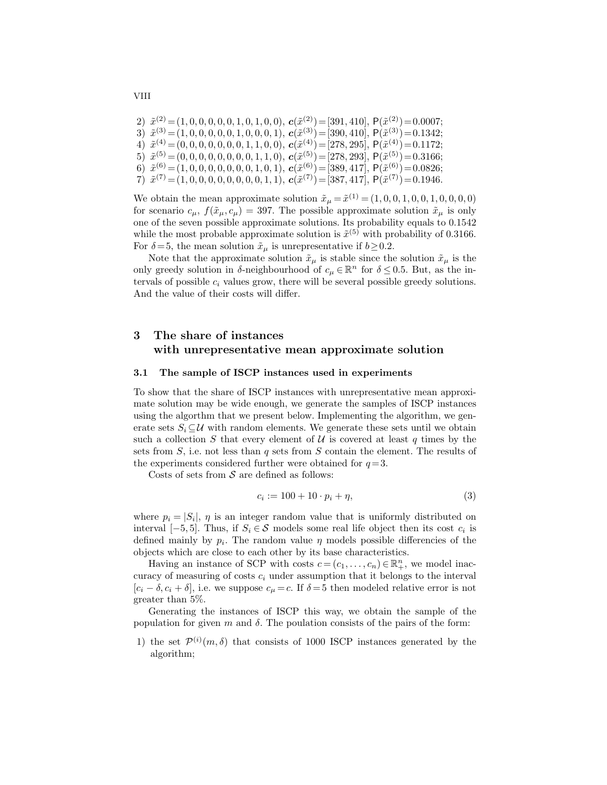```
2) \tilde{x}^{(2)} = (1, 0, 0, 0, 0, 0, 1, 0, 1, 0, 0), \mathbf{c}(\tilde{x}^{(2)}) = [391, 410], P(\tilde{x}^{(2)}) = 0.0007;3) \tilde{x}^{(3)} = (1, 0, 0, 0, 0, 0, 1, 0, 0, 0, 1), c(\tilde{x}^{(3)}) = [390, 410], P(\tilde{x}^{(3)}) = 0.1342;4) \tilde{x}^{(4)} = (0, 0, 0, 0, 0, 0, 0, 1, 1, 0, 0), \mathbf{c}(\tilde{x}^{(4)}) = [278, 295], P(\tilde{x}^{(4)}) = 0.1172;5) \tilde{x}^{(5)} = (0, 0, 0, 0, 0, 0, 0, 0, 1, 1, 0), c(\tilde{x}^{(5)}) = [278, 293], P(\tilde{x}^{(5)}) = 0.3166;6) \tilde{x}^{(6)} = (1, 0, 0, 0, 0, 0, 0, 0, 1, 0, 1), c(\tilde{x}^{(6)}) = [389, 417], P(\tilde{x}^{(6)}) = 0.0826;7) \tilde{x}^{(7)} = (1, 0, 0, 0, 0, 0, 0, 0, 0, 1, 1), \mathbf{c}(\tilde{x}^{(7)}) = [387, 417], \mathsf{P}(\tilde{x}^{(7)}) = 0.1946.
```
We obtain the mean approximate solution  $\tilde{x}_{\mu} = \tilde{x}^{(1)} = (1, 0, 0, 1, 0, 0, 1, 0, 0, 0, 0)$ for scenario  $c_{\mu}$ ,  $f(\tilde{x}_{\mu}, c_{\mu}) = 397$ . The possible approximate solution  $\tilde{x}_{\mu}$  is only one of the seven possible approximate solutions. Its probability equals to 0.1542 while the most probable approximate solution is  $\tilde{x}^{(5)}$  with probability of 0.3166. For  $\delta = 5$ , the mean solution  $\tilde{x}_{\mu}$  is unrepresentative if  $b \ge 0.2$ .

Note that the approximate solution  $\tilde{x}_{\mu}$  is stable since the solution  $\tilde{x}_{\mu}$  is the only greedy solution in δ-neighbourhood of  $c_{\mu} \in \mathbb{R}^n$  for  $\delta \leq 0.5$ . But, as the intervals of possible  $c_i$  values grow, there will be several possible greedy solutions. And the value of their costs will differ.

# 3 The share of instances with unrepresentative mean approximate solution

#### 3.1 The sample of ISCP instances used in experiments

To show that the share of ISCP instances with unrepresentative mean approximate solution may be wide enough, we generate the samples of ISCP instances using the algorthm that we present below. Implementing the algorithm, we generate sets  $S_i \subseteq \mathcal{U}$  with random elements. We generate these sets until we obtain such a collection S that every element of  $U$  is covered at least q times by the sets from  $S$ , i.e. not less than  $q$  sets from  $S$  contain the element. The results of the experiments considered further were obtained for  $q=3$ .

Costs of sets from  $S$  are defined as follows:

$$
c_i := 100 + 10 \cdot p_i + \eta,\tag{3}
$$

where  $p_i = |S_i|$ ,  $\eta$  is an integer random value that is uniformly distributed on interval  $[-5, 5]$ . Thus, if  $S_i \in \mathcal{S}$  models some real life object then its cost  $c_i$  is defined mainly by  $p_i$ . The random value  $\eta$  models possible differencies of the objects which are close to each other by its base characteristics.

Having an instance of SCP with costs  $c = (c_1, \ldots, c_n) \in \mathbb{R}^n_+$ , we model inaccuracy of measuring of costs  $c_i$  under assumption that it belongs to the interval  $[c_i - \delta, c_i + \delta]$ , i.e. we suppose  $c_\mu = c$ . If  $\delta = 5$  then modeled relative error is not greater than 5%.

Generating the instances of ISCP this way, we obtain the sample of the population for given m and  $\delta$ . The poulation consists of the pairs of the form:

1) the set  $\mathcal{P}^{(i)}(m,\delta)$  that consists of 1000 ISCP instances generated by the algorithm;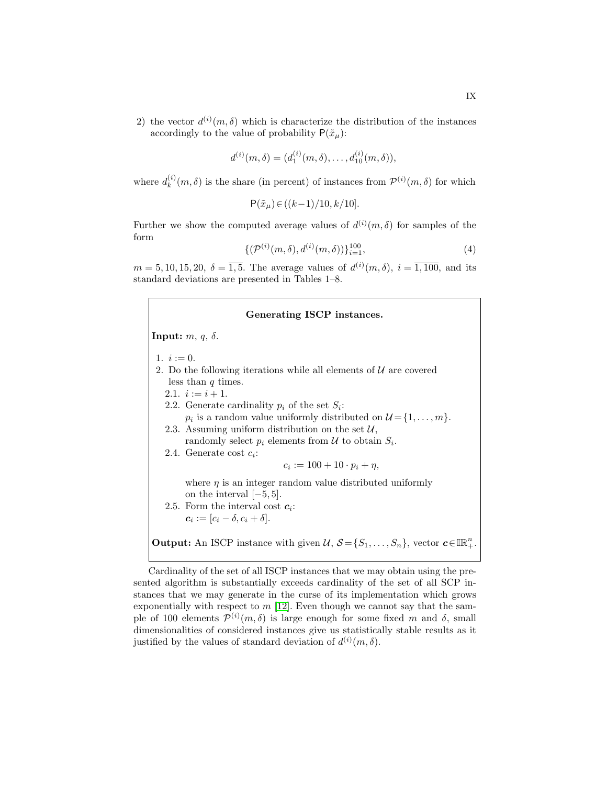2) the vector  $d^{(i)}(m,\delta)$  which is characterize the distribution of the instances accordingly to the value of probability  $P(\tilde{x}_\mu)$ :

$$
d^{(i)}(m,\delta) = (d_1^{(i)}(m,\delta), \ldots, d_{10}^{(i)}(m,\delta)),
$$

where  $d_k^{(i)}$  $\binom{n}{k}(m,\delta)$  is the share (in percent) of instances from  $\mathcal{P}^{(i)}(m,\delta)$  for which

$$
P(\tilde{x}_{\mu}) \in ((k-1)/10, k/10].
$$

Further we show the computed average values of  $d^{(i)}(m, \delta)$  for samples of the form

<span id="page-8-0"></span>
$$
\{(\mathcal{P}^{(i)}(m,\delta),d^{(i)}(m,\delta))\}_{i=1}^{100},\tag{4}
$$

 $m = 5, 10, 15, 20, \delta = \overline{1, 5}$ . The average values of  $d^{(i)}(m, \delta)$ ,  $i = \overline{1, 100}$ , and its standard deviations are presented in Tables 1–8.

# Generating ISCP instances.

**Input:**  $m, q, δ$ .

- 1.  $i := 0$ .
- 2. Do the following iterations while all elements of  $U$  are covered less than  $q$  times.
	- 2.1.  $i := i + 1$ .
	- 2.2. Generate cardinality  $p_i$  of the set  $S_i$ :  $p_i$  is a random value uniformly distributed on  $\mathcal{U} = \{1, \ldots, m\}.$ 2.3. Assuming uniform distribution on the set  $\mathcal{U}$ ,
	- randomly select  $p_i$  elements from  $\mathcal U$  to obtain  $S_i$ .
	- 2.4. Generate cost  $c_i$ :

 $c_i := 100 + 10 \cdot p_i + \eta,$ 

where  $\eta$  is an integer random value distributed uniformly on the interval [−5, 5].

2.5. Form the interval cost  $c_i$ :  $c_i := [c_i - \delta, c_i + \delta].$ 

**Output:** An ISCP instance with given  $\mathcal{U}, \mathcal{S} = \{S_1, \ldots, S_n\}$ , vector  $\mathbf{c} \in \mathbb{R}^n_+$ .

Cardinality of the set of all ISCP instances that we may obtain using the presented algorithm is substantially exceeds cardinality of the set of all SCP instances that we may generate in the curse of its implementation which grows exponentially with respect to  $m$  [\[12\]](#page-14-9). Even though we cannot say that the sample of 100 elements  $\mathcal{P}^{(i)}(m,\delta)$  is large enough for some fixed m and  $\delta$ , small dimensionalities of considered instances give us statistically stable results as it justified by the values of standard deviation of  $d^{(i)}(m, \delta)$ .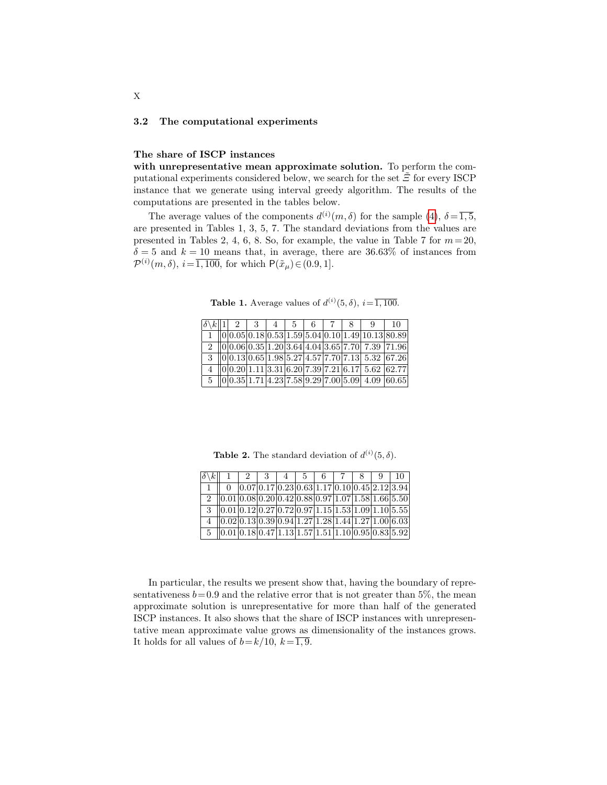#### 3.2 The computational experiments

#### The share of ISCP instances

with unrepresentative mean approximate solution. To perform the computational experiments considered below, we search for the set  $\tilde{\Xi}$  for every ISCP instance that we generate using interval greedy algorithm. The results of the computations are presented in the tables below.

The average values of the components  $d^{(i)}(m,\delta)$  for the sample [\(4\)](#page-8-0),  $\delta = \overline{1,5}$ , are presented in Tables 1, 3, 5, 7. The standard deviations from the values are presented in Tables 2, 4, 6, 8. So, for example, the value in Table 7 for  $m = 20$ ,  $\delta = 5$  and  $k = 10$  means that, in average, there are 36.63% of instances from  $\mathcal{P}^{(i)}(m,\delta), i=\overline{1,100}$ , for which  $\mathsf{P}(\tilde{x}_\mu) \in (0.9,1].$ 

**Table 1.** Average values of  $d^{(i)}(5, \delta)$ ,  $i = \overline{1, 100}$ .

|  | $\delta \backslash k   1   2   3   4   5$ |  |  |  | Q                                                                         | 10 |
|--|-------------------------------------------|--|--|--|---------------------------------------------------------------------------|----|
|  |                                           |  |  |  | $1    0   0.05   0.18   0.53   1.59   5.04   0.10   1.49   10.13   80.89$ |    |
|  |                                           |  |  |  | $\frac{2}{1000.060.3511.203.6444.043.6577.7077.39771.96}$                 |    |
|  |                                           |  |  |  | $3  0 0.13 0.65 1.98 5.27 4.57 7.70 7.13 5.32 67.26$                      |    |
|  |                                           |  |  |  | $4$   0 0.20 1.11 3.31 6.20 7.39 7.21 6.17 5.62 62.77                     |    |
|  |                                           |  |  |  | $5$   0  0.35   $1.\overline{71 4.23 7.58 9.29 7.00 5.09 4.09 60.65}$     |    |

**Table 2.** The standard deviation of  $d^{(i)}(5, \delta)$ .

| $ \delta \backslash k $     |                                                        | 3 |  | 6 |  |                                                       |
|-----------------------------|--------------------------------------------------------|---|--|---|--|-------------------------------------------------------|
|                             |                                                        |   |  |   |  | $[0.07 0.17 0.23 0.63 1.17 0.10 0.45 2.12 3.94]$      |
| $\mathcal{D}_{\mathcal{L}}$ | $(0.01 0.08 0.20 0.42 0.88 0.97 1.07 1.58 1.66 5.50)$  |   |  |   |  |                                                       |
| 3                           |                                                        |   |  |   |  | $(0.01 0.12 0.27 0.72 0.97 1.15 1.53 1.09 1.10 5.55)$ |
|                             | $[ 0.02 0.13 0.39 0.94 1.27 1.28 1.44 1.27 1.00 6.03]$ |   |  |   |  |                                                       |
|                             |                                                        |   |  |   |  | $(0.01 0.18 0.47 1.13 1.57 1.51 1.10 0.95 0.83 5.92)$ |

In particular, the results we present show that, having the boundary of representativeness  $b = 0.9$  and the relative error that is not greater than 5%, the mean approximate solution is unrepresentative for more than half of the generated ISCP instances. It also shows that the share of ISCP instances with unrepresentative mean approximate value grows as dimensionality of the instances grows. It holds for all values of  $b=k/10$ ,  $k=\overline{1,9}$ .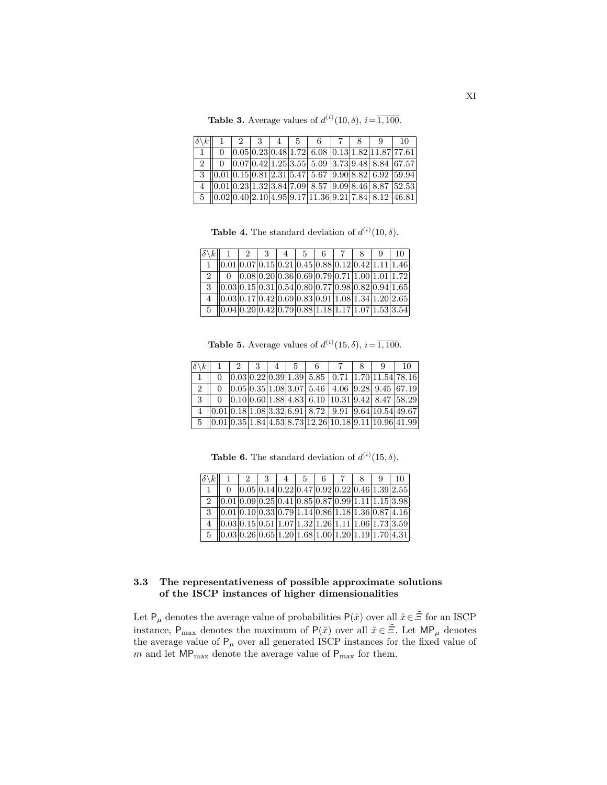**Table 3.** Average values of  $d^{(i)}(10, \delta)$ ,  $i = \overline{1, 100}$ .

| $\left \delta\right\rangle k\right $ |  |  | 1234567 |  |                                                                                                                                                     | 10 |
|--------------------------------------|--|--|---------|--|-----------------------------------------------------------------------------------------------------------------------------------------------------|----|
|                                      |  |  |         |  | $[0.05] 0.23] 0.48] 1.72] 6.08] 0.13] 1.82] 11.87] 77.61$                                                                                           |    |
| $2^{\circ}$                          |  |  |         |  | $\boxed{0}$ $\boxed{0.07}$ $\boxed{0.42}$ $\boxed{1.25}$ $\boxed{3.55}$ $\boxed{5.09}$ $\boxed{3.73}$ $\boxed{9.48}$ $\boxed{8.84}$ $\boxed{67.57}$ |    |
| $\mathbf{3}$                         |  |  |         |  | $\left  0.01 \right  0.15 \left  0.81 \right  2.31 \left  5.47 \right  5.67 \left  9.90 \right  8.82 \left  6.92 \right  59.94$                     |    |
|                                      |  |  |         |  | 4 $ 0.01 0.23 1.32 3.84 7.09 8.57 9.09 8.46 8.87 52.53$                                                                                             |    |
|                                      |  |  |         |  | $\frac{5}{10.02}$ 0.40 2.10 4.95 9.17 11.36 9.21 7.84 8.12 46.81                                                                                    |    |

**Table 4.** The standard deviation of  $d^{(i)}(10, \delta)$ .

| $\delta \backslash k$ |                                                                                                                                              | $2 \mid 3 \mid$                                 | l 5 | 6. | 8 | -9 | 10. |
|-----------------------|----------------------------------------------------------------------------------------------------------------------------------------------|-------------------------------------------------|-----|----|---|----|-----|
|                       | $(0.01 0.07 0.15 0.21 0.45 0.88 0.12 0.42 1.11 1.46)$                                                                                        |                                                 |     |    |   |    |     |
| 2                     |                                                                                                                                              | $[0.08]0.20]0.36[0.69]0.79[0.71]1.00[1.01]1.72$ |     |    |   |    |     |
|                       | $3$   0.03   0.15   0.31   0.54   0.80   0.77   0.98   0.82   0.94   1.65                                                                    |                                                 |     |    |   |    |     |
|                       | $\overline{4}$ $\vert 0.03 \vert 0.17 \vert 0.42 \vert 0.69 \vert 0.83 \vert 0.91 \vert 1.08 \vert 1.34 \vert 1.20 \vert 2.65$               |                                                 |     |    |   |    |     |
|                       | $\frac{1}{6}$ $\left  0.04 \right  0.20 \left  0.42 \right  0.79 \left  0.88 \right  1.18 \left  1.17 \right  1.07 \left  1.53 \right  3.54$ |                                                 |     |    |   |    |     |

**Table 5.** Average values of  $d^{(i)}(15, \delta)$ ,  $i = \overline{1, 100}$ .

| $ \delta \backslash k $ |  | $3-1$ | 4 <sup>1</sup> | $5 -$ |  |                                                                                                                                                                                                                                                                                                                     |  |
|-------------------------|--|-------|----------------|-------|--|---------------------------------------------------------------------------------------------------------------------------------------------------------------------------------------------------------------------------------------------------------------------------------------------------------------------|--|
|                         |  |       |                |       |  | $[0.03 0.22 0.39 1.39 5.85 0.71 1.70 11.54 78.16]$                                                                                                                                                                                                                                                                  |  |
| $-2$                    |  |       |                |       |  | $[0.05 0.35 1.08 3.07 5.46 4.06 9.28 9.45 67.19]$                                                                                                                                                                                                                                                                   |  |
| $-3$                    |  |       |                |       |  | $0$   0.10   0.60   1.88   4.83   6.10   10.31   9.42   8.47   58.29                                                                                                                                                                                                                                                |  |
|                         |  |       |                |       |  | 4 $ 0.01 0.18 1.08 3.32 6.91 8.72 9.91 9.64 10.54 49.67 $                                                                                                                                                                                                                                                           |  |
|                         |  |       |                |       |  | $\frac{1}{2}$ $\frac{1}{2}$ $\frac{1}{2}$ $\frac{1}{2}$ $\frac{1}{2}$ $\frac{1}{2}$ $\frac{1}{2}$ $\frac{1}{2}$ $\frac{1}{2}$ $\frac{1}{2}$ $\frac{1}{2}$ $\frac{1}{2}$ $\frac{1}{2}$ $\frac{1}{2}$ $\frac{1}{2}$ $\frac{1}{2}$ $\frac{1}{2}$ $\frac{1}{2}$ $\frac{1}{2}$ $\frac{1}{2}$ $\frac{1}{2}$ $\frac{1}{2}$ |  |

**Table 6.** The standard deviation of  $d^{(i)}(15, \delta)$ .

| $ \delta \backslash k $ |                                                                             | $2^{\circ}$ | 3 | $-4$ | -5 | - 6 |                                                  | 8 <sup>1</sup> | 9 |  |
|-------------------------|-----------------------------------------------------------------------------|-------------|---|------|----|-----|--------------------------------------------------|----------------|---|--|
|                         |                                                                             |             |   |      |    |     | $ 0.05 0.14 0.22 0.47 0.92 0.22 0.46 1.39 2.55 $ |                |   |  |
|                         | 2 $ 0.01 0.09 0.25 0.41 0.85 0.87 0.99 1.11 1.15 3.98 $                     |             |   |      |    |     |                                                  |                |   |  |
|                         | $3$   0.01   0.10   0.33   0.79   1.14   0.86   1.18   1.36   0.87   4.16   |             |   |      |    |     |                                                  |                |   |  |
|                         | $4   0.03 0.15 0.51 1.07 1.32 1.26 1.11 1.06 1.73 3.59 $                    |             |   |      |    |     |                                                  |                |   |  |
|                         | $5 \ (0.03 \ 0.26 \ 0.65 \ 1.20 \ 1.68 \ 1.00 \ 1.20 \ 1.19 \ 1.70 \ 4.31)$ |             |   |      |    |     |                                                  |                |   |  |

# 3.3 The representativeness of possible approximate solutions of the ISCP instances of higher dimensionalities

Let  $\mathsf{P}_\mu$  denotes the average value of probabilities  $\mathsf{P}(\tilde{x})$  over all  $\tilde{x}\in\tilde{\Xi}$  for an ISCP instance,  $P_{\text{max}}$  denotes the maximum of  $P(\tilde{x})$  over all  $\tilde{x} \in \tilde{\Xi}$ . Let  $\text{MP}_{\mu}$  denotes the average value of  $P_{\mu}$  over all generated ISCP instances for the fixed value of  $m$  and let  $MP_{\text{max}}$  denote the average value of  $P_{\text{max}}$  for them.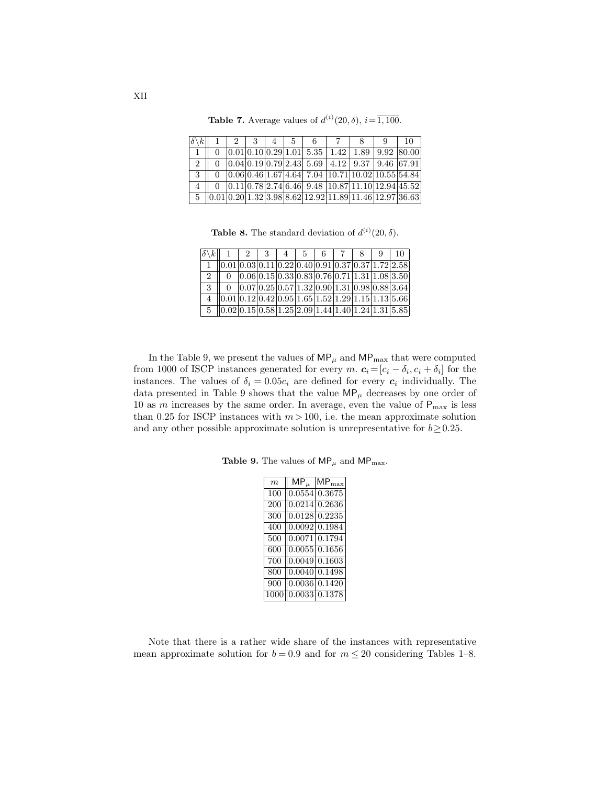| $ \delta \backslash k $ | $2 \perp$ | 3 <sup>1</sup> | 4 <sup>1</sup> | $-5$ | -6 |                                                            |  | 10 |
|-------------------------|-----------|----------------|----------------|------|----|------------------------------------------------------------|--|----|
|                         |           |                |                |      |    | $[0.01 0.10 0.29 1.01 5.35 1.42 1.89 9.92 80.00]$          |  |    |
| $+2$                    |           |                |                |      |    | $[0.04]0.19]0.79]2.43]5.69$   4.12   9.37   9.46   67.91   |  |    |
| -3                      |           |                |                |      |    | $[0.06]0.46]1.67]4.64$ 7.04 $[10.71]10.02]10.55]54.84$     |  |    |
|                         |           |                |                |      |    | $[0.11] 0.78] 2.74] 6.46] 9.48 10.87] 11.10] 12.94] 45.52$ |  |    |
| $-5$                    |           |                |                |      |    | $[0.01 0.20 1.32 3.98 8.62 12.92 11.89 11.46 12.97 36.63]$ |  |    |

**Table 7.** Average values of  $d^{(i)}(20, \delta)$ ,  $i = \overline{1, 100}$ .

**Table 8.** The standard deviation of  $d^{(i)}(20, \delta)$ .

| $\delta \backslash k$ |                                                       | $1\mid 2\mid 3\mid$                                      | $-5$ | $-6$ |  | - Q | 10 |
|-----------------------|-------------------------------------------------------|----------------------------------------------------------|------|------|--|-----|----|
|                       | $(0.01 0.03 0.11 0.22 0.40 0.91 0.37 0.37 1.72 2.58)$ |                                                          |      |      |  |     |    |
| $\mathcal{D}$         |                                                       | $[0.06 0.15 0.33 0.83 0.76 0.71 1.31 1.08 3.50]$         |      |      |  |     |    |
| 3                     |                                                       | $[0.07] 0.25] 0.57] 1.32] 0.90] 1.31] 0.98] 0.88] 3.64]$ |      |      |  |     |    |
|                       | $(0.01 0.12 0.42 0.95 1.65 1.52 1.29 1.15 1.13 5.66)$ |                                                          |      |      |  |     |    |
|                       | $(0.02 0.15 0.58 1.25 2.09 1.44 1.40 1.24 1.31 5.85)$ |                                                          |      |      |  |     |    |

In the Table 9, we present the values of  $\mathsf{MP}_\mu$  and  $\mathsf{MP}_\text{max}$  that were computed from 1000 of ISCP instances generated for every m.  $c_i = [c_i - \delta_i, c_i + \delta_i]$  for the instances. The values of  $\delta_i = 0.05c_i$  are defined for every  $c_i$  individually. The data presented in Table 9 shows that the value  $\mathsf{MP}_\mu$  decreases by one order of 10 as m increases by the same order. In average, even the value of  $P_{\text{max}}$  is less than 0.25 for ISCP instances with  $m > 100$ , i.e. the mean approximate solution and any other possible approximate solution is unrepresentative for  $b \ge 0.25$ .

Table 9. The values of  $\mathsf{MP}_\mu$  and  $\mathsf{MP}_\text{max}.$ 

| m   | $\bar{\bm{\mathsf{M}}}\bm{\mathsf{P}}_\mu$ | $MP_{\text{max}}$          |
|-----|--------------------------------------------|----------------------------|
| 100 | 0.0554                                     | 0.3675                     |
| 200 | 0.0214                                     | 0.2636                     |
| 300 | 0.0128                                     | 0.2235                     |
| 400 |                                            | $\overline{0.0092}$ 0.1984 |
| 500 |                                            | 0.0071 0.1794              |
| 600 |                                            | 0.0055   0.1656            |
| 700 |                                            | $0.0049 \mid 0.1603$       |
| 800 | 0.0040                                     | 0.1498                     |
| 900 |                                            | 0.0036 0.1420              |
|     |                                            | $0.0033 \ 0.1378$          |

Note that there is a rather wide share of the instances with representative mean approximate solution for  $b = 0.9$  and for  $m \leq 20$  considering Tables 1–8.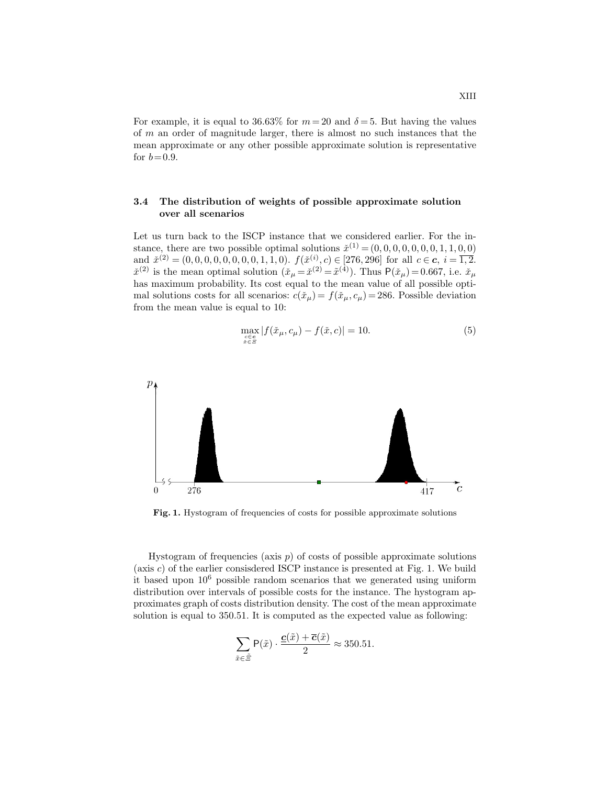For example, it is equal to 36.63% for  $m = 20$  and  $\delta = 5$ . But having the values of m an order of magnitude larger, there is almost no such instances that the mean approximate or any other possible approximate solution is representative for  $b = 0.9$ .

# 3.4 The distribution of weights of possible approximate solution over all scenarios

Let us turn back to the ISCP instance that we considered earlier. For the instance, there are two possible optimal solutions  $\check{x}^{(1)} = (0, 0, 0, 0, 0, 0, 0, 1, 1, 0, 0)$ and  $\check{x}^{(2)} = (0, 0, 0, 0, 0, 0, 0, 0, 1, 1, 0)$ .  $f(\check{x}^{(i)}, c) \in [276, 296]$  for all  $c \in \mathbf{c}, i = \overline{1, 2}$ .  $\check{x}^{(2)}$  is the mean optimal solution  $(\check{x}_{\mu} = \check{x}^{(2)} = \tilde{x}^{(4)})$ . Thus  $P(\check{x}_{\mu}) = 0.667$ , i.e.  $\check{x}_{\mu}$ has maximum probability. Its cost equal to the mean value of all possible optimal solutions costs for all scenarios:  $c(\tilde{x}_\mu) = f(\tilde{x}_\mu, c_\mu) = 286$ . Possible deviation from the mean value is equal to 10:

<span id="page-12-0"></span>
$$
\max_{\substack{c \in \mathbf{c} \\ \check{x} \in \Xi}} |f(\check{x}_{\mu}, c_{\mu}) - f(\check{x}, c)| = 10.
$$
 (5)



Fig. 1. Hystogram of frequencies of costs for possible approximate solutions

Hystogram of frequencies (axis  $p$ ) of costs of possible approximate solutions (axis  $c$ ) of the earlier consisdered ISCP instance is presented at Fig. 1. We build it based upon  $10<sup>6</sup>$  possible random scenarios that we generated using uniform distribution over intervals of possible costs for the instance. The hystogram approximates graph of costs distribution density. The cost of the mean approximate solution is equal to 350.51. It is computed as the expected value as following:

$$
\sum_{\tilde{x}\in\tilde{\Xi}} P(\tilde{x}) \cdot \frac{\underline{c}(\tilde{x}) + \overline{c}(\tilde{x})}{2} \approx 350.51.
$$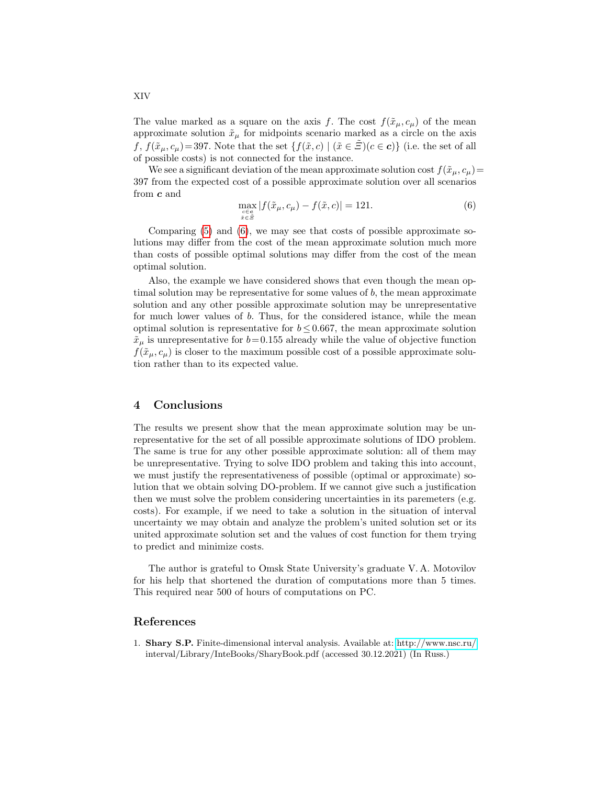The value marked as a square on the axis f. The cost  $f(\tilde{x}_{\mu}, c_{\mu})$  of the mean approximate solution  $\tilde{x}_{\mu}$  for midpoints scenario marked as a circle on the axis f,  $f(\tilde{x}_\mu, c_\mu) = 397$ . Note that the set  $\{f(\tilde{x}, c) \mid (\tilde{x} \in \Xi)(c \in c)\}\$  (i.e. the set of all of possible costs) is not connected for the instance.

We see a significant deviation of the mean approximate solution cost  $f(\tilde{x}_u, c_u)$ 397 from the expected cost of a possible approximate solution over all scenarios from c and

<span id="page-13-1"></span>
$$
\max_{\substack{c \in \mathbf{c} \\ \tilde{x} \in \tilde{\Xi}}} |f(\tilde{x}_{\mu}, c_{\mu}) - f(\tilde{x}, c)| = 121.
$$
\n(6)

Comparing [\(5\)](#page-12-0) and [\(6\)](#page-13-1), we may see that costs of possible approximate solutions may differ from the cost of the mean approximate solution much more than costs of possible optimal solutions may differ from the cost of the mean optimal solution.

Also, the example we have considered shows that even though the mean optimal solution may be representative for some values of  $b$ , the mean approximate solution and any other possible approximate solution may be unrepresentative for much lower values of b. Thus, for the considered istance, while the mean optimal solution is representative for  $b \leq 0.667$ , the mean approximate solution  $\tilde{x}_{\mu}$  is unrepresentative for  $b=0.155$  already while the value of objective function  $f(\tilde{x}_{\mu}, c_{\mu})$  is closer to the maximum possible cost of a possible approximate solution rather than to its expected value.

### 4 Conclusions

The results we present show that the mean approximate solution may be unrepresentative for the set of all possible approximate solutions of IDO problem. The same is true for any other possible approximate solution: all of them may be unrepresentative. Trying to solve IDO problem and taking this into account, we must justify the representativeness of possible (optimal or approximate) solution that we obtain solving DO-problem. If we cannot give such a justification then we must solve the problem considering uncertainties in its paremeters (e.g. costs). For example, if we need to take a solution in the situation of interval uncertainty we may obtain and analyze the problem's united solution set or its united approximate solution set and the values of cost function for them trying to predict and minimize costs.

The author is grateful to Omsk State University's graduate V. A. Motovilov for his help that shortened the duration of computations more than 5 times. This required near 500 of hours of computations on PC.

### References

<span id="page-13-0"></span>1. Shary S.P. Finite-dimensional interval analysis. Available at:<http://www.nsc.ru/> interval/Library/InteBooks/SharyBook.pdf (accessed 30.12.2021) (In Russ.)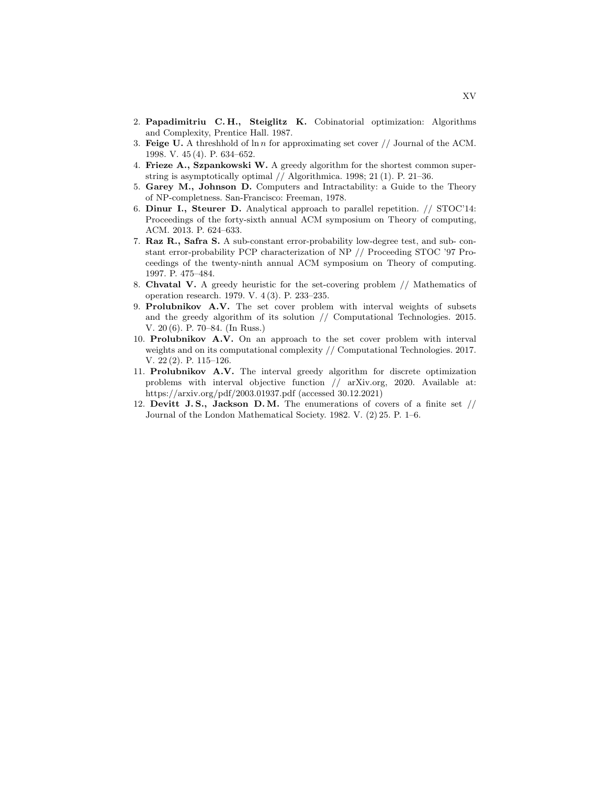- <span id="page-14-0"></span>2. Papadimitriu C. H., Steiglitz K. Cobinatorial optimization: Algorithms and Complexity, Prentice Hall. 1987.
- <span id="page-14-1"></span>3. Feige U. A threshhold of  $\ln n$  for approximating set cover // Journal of the ACM. 1998. V. 45 (4). P. 634–652.
- <span id="page-14-2"></span>4. Frieze A., Szpankowski W. A greedy algorithm for the shortest common superstring is asymptotically optimal // Algorithmica. 1998; 21 (1). P. 21–36.
- <span id="page-14-3"></span>5. Garey M., Johnson D. Computers and Intractability: a Guide to the Theory of NP-completness. San-Francisco: Freeman, 1978.
- <span id="page-14-4"></span>6. Dinur I., Steurer D. Analytical approach to parallel repetition. // STOC'14: Proceedings of the forty-sixth annual ACM symposium on Theory of computing, ACM. 2013. P. 624–633.
- <span id="page-14-5"></span>7. Raz R., Safra S. A sub-constant error-probability low-degree test, and sub- constant error-probability PCP characterization of NP // Proceeding STOC '97 Proceedings of the twenty-ninth annual ACM symposium on Theory of computing. 1997. P. 475–484.
- <span id="page-14-6"></span>8. Chvatal V. A greedy heuristic for the set-covering problem // Mathematics of operation research. 1979. V. 4 (3). P. 233–235.
- <span id="page-14-7"></span>9. Prolubnikov A.V. The set cover problem with interval weights of subsets and the greedy algorithm of its solution // Computational Technologies. 2015. V. 20 (6). P. 70–84. (In Russ.)
- <span id="page-14-8"></span>10. Prolubnikov A.V. On an approach to the set cover problem with interval weights and on its computational complexity // Computational Technologies. 2017. V. 22 (2). P. 115–126.
- 11. Prolubnikov A.V. The interval greedy algorithm for discrete optimization problems with interval objective function // arXiv.org, 2020. Available at: https://arxiv.org/pdf/2003.01937.pdf (accessed 30.12.2021)
- <span id="page-14-9"></span>12. Devitt J.S., Jackson D.M. The enumerations of covers of a finite set  $//$ Journal of the London Mathematical Society. 1982. V. (2) 25. P. 1–6.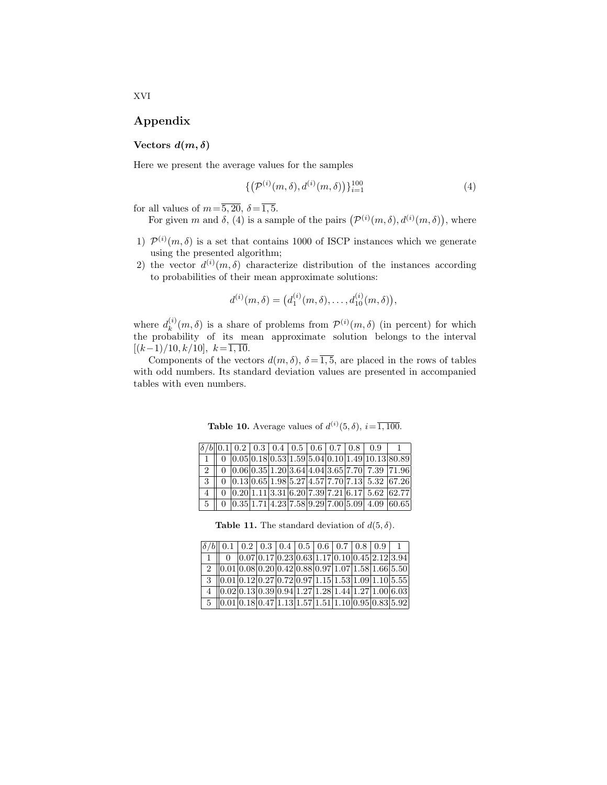# Appendix

# Vectors  $d(m, \delta)$

Here we present the average values for the samples

$$
\{(\mathcal{P}^{(i)}(m,\delta),d^{(i)}(m,\delta))\}_{i=1}^{100} \tag{4}
$$

for all values of  $m=\overline{5, 20}, \delta=\overline{1, 5}$ .

For given m and 
$$
\delta
$$
, (4) is a sample of the pairs  $(\mathcal{P}^{(i)}(m,\delta), d^{(i)}(m,\delta))$ , where

- 1)  $\mathcal{P}^{(i)}(m,\delta)$  is a set that contains 1000 of ISCP instances which we generate using the presented algorithm;
- 2) the vector  $d^{(i)}(m,\delta)$  characterize distribution of the instances according to probabilities of their mean approximate solutions:

$$
d^{(i)}(m,\delta) = \big(d_1^{(i)}(m,\delta),\ldots,d_{10}^{(i)}(m,\delta)\big),
$$

where  $d_k^{(i)}$  $\mathcal{P}_k^{(i)}(m,\delta)$  is a share of problems from  $\mathcal{P}^{(i)}(m,\delta)$  (in percent) for which the probability of its mean approximate solution belongs to the interval  $[(k-1)/10, k/10], k=\overline{1, 10}.$ 

Components of the vectors  $d(m, \delta)$ ,  $\delta = \overline{1, 5}$ , are placed in the rows of tables with odd numbers. Its standard deviation values are presented in accompanied tables with even numbers.

|               |  |  |  |  | $\delta/b  0.1  0.2  0.3  0.4  0.5  0.6  0.7  0.8  0.9  1$ |                                                                                                               |
|---------------|--|--|--|--|------------------------------------------------------------|---------------------------------------------------------------------------------------------------------------|
|               |  |  |  |  | 0 $ 0.05 0.18 0.53 1.59 5.04 0.10 1.49 10.13 80.89$        |                                                                                                               |
| $-2$          |  |  |  |  |                                                            | $\parallel 0 \mid 0.06 \mid 0.35 \mid 1.20 \mid 3.64 \mid 4.04 \mid 3.65 \mid 7.70 \mid 7.39 \mid 71.96 \mid$ |
| $\mathcal{S}$ |  |  |  |  |                                                            | $0$  0.13 0.65 1.98 5.27 4.57 7.70 7.13  5.32  67.26                                                          |
|               |  |  |  |  | $0$  0.20 1.11 3.31 6.20 7.39 7.21 6.17  5.62  62.77       |                                                                                                               |
| $5^{\circ}$   |  |  |  |  |                                                            | $0$  0.35 1.71 4.23 7.58 9.29 7.00 5.09  4.09  60.65                                                          |

**Table 10.** Average values of  $d^{(i)}(5, \delta)$ ,  $i = \overline{1,100}$ .

**Table 11.** The standard deviation of  $d(5, \delta)$ .

| $\delta/b$ 0.1 0.2 0.3 0.4 0.5 0.6 0.7 0.8 0.9                                                                                   |                                                                    |  |  |  |  |
|----------------------------------------------------------------------------------------------------------------------------------|--------------------------------------------------------------------|--|--|--|--|
|                                                                                                                                  | $0$ $0.07$ $0.17$ $0.23$ $0.63$ $1.17$ $0.10$ $0.45$ $2.12$ $3.94$ |  |  |  |  |
| 2 $ 0.01 0.08 0.20 0.42 0.88 0.97 1.07 1.58 1.66 5.50$                                                                           |                                                                    |  |  |  |  |
| $3 \mid 0.01 \mid 0.12 \mid 0.27 \mid 0.72 \mid 0.97 \mid 1.15 \mid 1.53 \mid 1.09 \mid 1.10 \mid 5.55$                          |                                                                    |  |  |  |  |
| $4   0.02 0.13 0.39 0.94 1.27 1.28 1.44 1.27 1.00 6.03$                                                                          |                                                                    |  |  |  |  |
| $5 \left[ 0.01 \right] 0.18 \left[ 0.47 \right] 1.13 \left[ 1.57 \right] 1.51 \left[ 1.10 \right] 0.95 \left[ 0.83 \right] 5.92$ |                                                                    |  |  |  |  |

XVI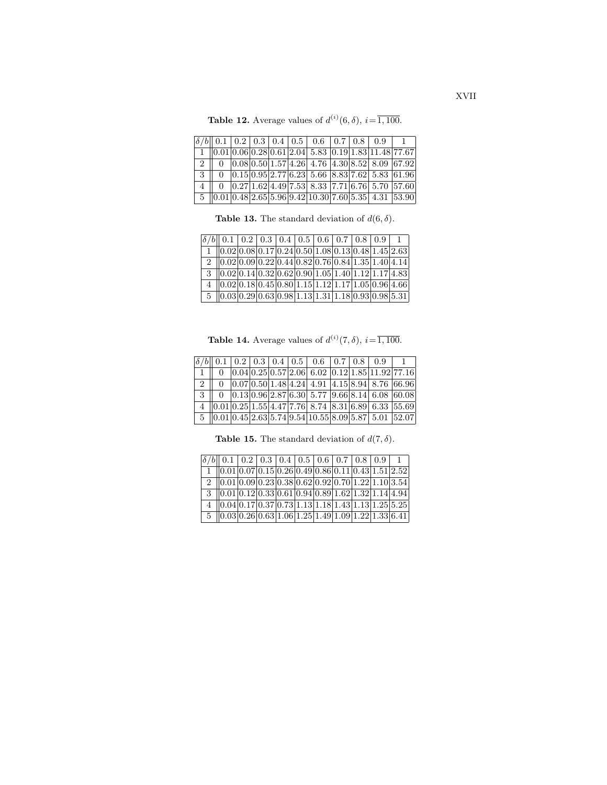**Table 12.** Average values of  $d^{(i)}(6, \delta)$ ,  $i = \overline{1,100}$ .

|               |  |  |  |  | $\delta/b$ 0.1 0.2 0.3 0.4 0.5 0.6 0.7 0.8 0.9                                                                                     |  |
|---------------|--|--|--|--|------------------------------------------------------------------------------------------------------------------------------------|--|
|               |  |  |  |  | $1    0.01   0.06   0.28   0.61   2.04   5.83   0.19   1.83   11.48   77.67$                                                       |  |
|               |  |  |  |  | 0 $ 0.08 0.50 1.57 4.26 4.76 4.30 8.52 8.09 67.92$                                                                                 |  |
| $3 \parallel$ |  |  |  |  | $\boxed{0}$ $\boxed{0.15 \mid 0.95 \mid 2.77 \mid 6.23 \mid 5.66 \mid 8.83 \mid 7.62 \mid 5.83 \mid 61.96}$                        |  |
|               |  |  |  |  | $0$   0.27  1.62  4.49  7.53  8.33  7.71  6.76  5.70  57.60                                                                        |  |
|               |  |  |  |  | $5 \left[ 0.01 \right] 0.48 \left[ 2.65 \right] 5.96 \left[ 9.42 \right] 10.30 \left[ 7.60 \right] 5.35 \left[ 4.31 \right] 53.90$ |  |

**Table 13.** The standard deviation of  $d(6, \delta)$ .

| $\delta/b$ 0.1 0.2 0.3 0.4 0.5 0.6 0.7 0.8 0.9 1                                                        |  |  |  |  |  |
|---------------------------------------------------------------------------------------------------------|--|--|--|--|--|
| $1    0.02   0.08   0.17   0.24   0.50   1.08   0.13   0.48   1.45   2.63$                              |  |  |  |  |  |
| $2   0.02 0.09 0.22 0.44 0.82 0.76 0.84 1.35 1.40 4.14$                                                 |  |  |  |  |  |
| $3 \mid 0.02 \mid 0.14 \mid 0.32 \mid 0.62 \mid 0.90 \mid 1.05 \mid 1.40 \mid 1.12 \mid 1.17 \mid 4.83$ |  |  |  |  |  |
| $4$   0.02 0.18 0.45 0.80 1.15 1.12 1.17 1.05 0.96 4.66                                                 |  |  |  |  |  |
| $5 \   0.03   0.29   0.63   0.98   1.13   1.31   1.18   0.93   0.98   5.31  $                           |  |  |  |  |  |

**Table 14.** Average values of  $d^{(i)}(7, \delta)$ ,  $i = \overline{1,100}$ .

|  |  |  |  | $\boxed{\delta/b}\boxed{0.1}\boxed{0.2}\boxed{0.3}\boxed{0.4}\boxed{0.5}\boxed{0.6}\boxed{0.7}\boxed{0.8}\boxed{0.9}\boxed{1}$ |  |
|--|--|--|--|--------------------------------------------------------------------------------------------------------------------------------|--|
|  |  |  |  | $\boxed{1 \parallel 0 \mid 0.04 \mid 0.25 \mid 0.57 \mid 2.06 \mid 6.02 \mid 0.12 \mid 1.85 \mid 11.92 \mid 77.16}$            |  |
|  |  |  |  |                                                                                                                                |  |
|  |  |  |  |                                                                                                                                |  |
|  |  |  |  | $4$   0.01   0.25   1.55   4.47   7.76   8.74   8.31   6.89   6.33   55.69                                                     |  |
|  |  |  |  | $\boxed{5 \mid 0.01 \mid 0.45 \mid 2.63 \mid 5.74 \mid 9.54 \mid 10.55 \mid 8.09 \mid 5.87 \mid 5.01 \mid 52.07}$              |  |

**Table 15.** The standard deviation of  $d(7, \delta)$ .

| $\left \delta/b\right $ 0.1   0.2   0.3   0.4   0.5   0.6   0.7   0.8   0.9                                  |  |  |  |  |  |
|--------------------------------------------------------------------------------------------------------------|--|--|--|--|--|
| $(0.01 0.07 0.15 0.26 0.49 0.86 0.11 0.43 1.51 2.52)$                                                        |  |  |  |  |  |
| 2 $ 0.01 0.09 0.23 0.38 0.62 0.92 0.70 1.22 1.10 3.54 $                                                      |  |  |  |  |  |
| $3 \mid 0.01 \mid 0.12 \mid 0.33 \mid 0.61 \mid 0.94 \mid 0.89 \mid 1.62 \mid 1.32 \mid 1.14 \mid 4.94 \mid$ |  |  |  |  |  |
| $(0.04 0.17 0.37 0.73 1.13 1.18 1.43 1.13 1.25 5.25)$                                                        |  |  |  |  |  |
| $5 \  0.03 0.26 0.63 1.06 1.25 1.49 1.09 1.22 1.33 6.41 $                                                    |  |  |  |  |  |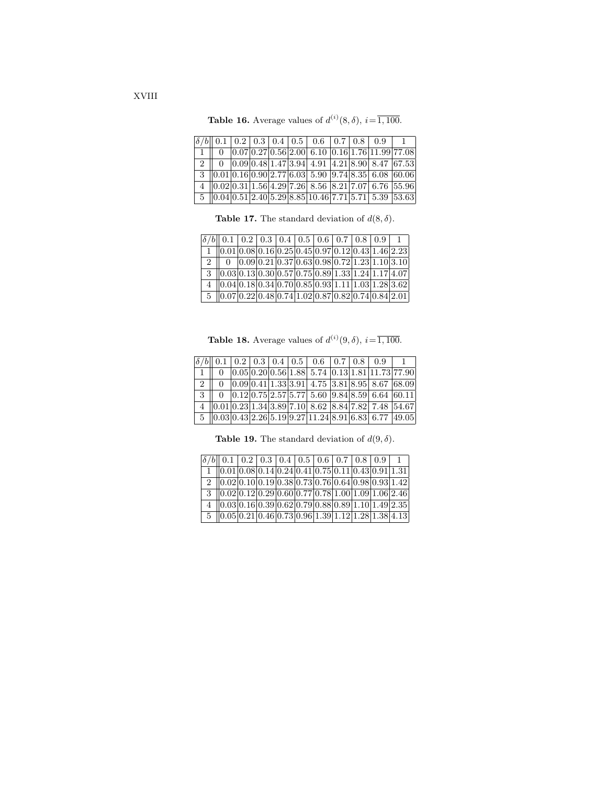**Table 16.** Average values of  $d^{(i)}(8, \delta)$ ,  $i = \overline{1,100}$ .

|  |  |  |  | $\delta/b$ 0.1 0.2 0.3 0.4 0.5 0.6 0.7 0.8 0.9 1                                                                                                  |  |
|--|--|--|--|---------------------------------------------------------------------------------------------------------------------------------------------------|--|
|  |  |  |  | 1    0    $0.07 0.27 0.56 2.00 $ 6.10 $ 0.16 1.76 11.99 77.08 $                                                                                   |  |
|  |  |  |  | 2    0    0.09   0.48  1.47  3.94  4.91   4.21   8.90   8.47   67.53                                                                              |  |
|  |  |  |  | $\mid 3 \mid 0.01   0.16   0.90   2.77   6.03   5.90   9.74   8.35   6.08   60.06  $                                                              |  |
|  |  |  |  | $\frac{1}{4}$ $\left  0.02 \right  0.31 \left  1.56 \right  4.29 \left  7.26 \right  8.56$ $\left  8.21 \right  7.07$ 6.76 $\left  55.96 \right $ |  |
|  |  |  |  | $\boxed{5 \mid 0.04 \mid 0.51 \mid 2.40 \mid 5.29 \mid 8.85 \mid 10.46 \mid 7.71 \mid 5.71 \mid 5.39 \mid 53.63}$                                 |  |

**Table 17.** The standard deviation of  $d(8, \delta)$ .

| $\delta/b$   0.1   0.2   0.3   0.4   0.5   0.6   0.7   0.8   0.9   1                                    |  |  |  |  |  |
|---------------------------------------------------------------------------------------------------------|--|--|--|--|--|
| $1    0.01   0.08   0.16   0.25   0.45   0.97   0.12   0.43   1.46   2.23$                              |  |  |  |  |  |
| 2   0 $ 0.09 0.21 0.37 0.63 0.98 0.72 1.23 1.10 3.10$                                                   |  |  |  |  |  |
| $3 \mid 0.03 \mid 0.13 \mid 0.30 \mid 0.57 \mid 0.75 \mid 0.89 \mid 1.33 \mid 1.24 \mid 1.17 \mid 4.07$ |  |  |  |  |  |
| $4    0.04   0.18   0.34   0.70   0.85   0.93   1.11   1.03   1.28   3.62$                              |  |  |  |  |  |
| $5$   0.07   0.22   0.48   0.74   1.02   0.87   0.82   0.74   0.84   2.01                               |  |  |  |  |  |

**Table 18.** Average values of  $d^{(i)}(9, \delta)$ ,  $i = \overline{1,100}$ .

|               |  |  |  |  | $\boxed{\delta/b}\boxed{0.1}\boxed{0.2}\boxed{0.3}\boxed{0.4}\boxed{0.5}\boxed{0.6}\boxed{0.7}\boxed{0.8}\boxed{0.9}\boxed{1}$          |  |
|---------------|--|--|--|--|-----------------------------------------------------------------------------------------------------------------------------------------|--|
| $1 \parallel$ |  |  |  |  | $0$ $0.05$ $0.20$ $0.56$ 1.88 5.74 $0.13$ 1.81 11.73 77.90                                                                              |  |
|               |  |  |  |  |                                                                                                                                         |  |
|               |  |  |  |  | $\boxed{3}$ $\boxed{0}$ $\boxed{0.12}\boxed{0.75}\boxed{2.57}\boxed{5.77}\boxed{5.60}\boxed{9.84}\boxed{8.59}\boxed{6.64}\boxed{60.11}$ |  |
|               |  |  |  |  | $4$   0.01   0.23   1.34   3.89   7.10   8.62   8.84   7.82   7.48   54.67                                                              |  |
|               |  |  |  |  |                                                                                                                                         |  |

**Table 19.** The standard deviation of  $d(9, \delta)$ .

| $\delta/b$ 0.1 0.2 0.3 0.4 0.5 0.6 0.7 0.8 0.9                            |  |  |  |  |  |
|---------------------------------------------------------------------------|--|--|--|--|--|
| $(0.01 0.08 0.14 0.24 0.41 0.75 0.11 0.43 0.91 1.31)$                     |  |  |  |  |  |
| 2 $ 0.02 0.10 0.19 0.38 0.73 0.76 0.64 0.98 0.93 1.42 $                   |  |  |  |  |  |
| $3 \  0.02 0.12 0.29 0.60 0.77 0.78 1.00 1.09 1.06 2.46 $                 |  |  |  |  |  |
| $4$   0.03   0.16   0.39   0.62   0.79   0.88   0.89   1.10   1.49   2.35 |  |  |  |  |  |
| $5 \  0.05 0.21 0.46 0.73 0.96 1.39 1.12 1.28 1.38 4.13 $                 |  |  |  |  |  |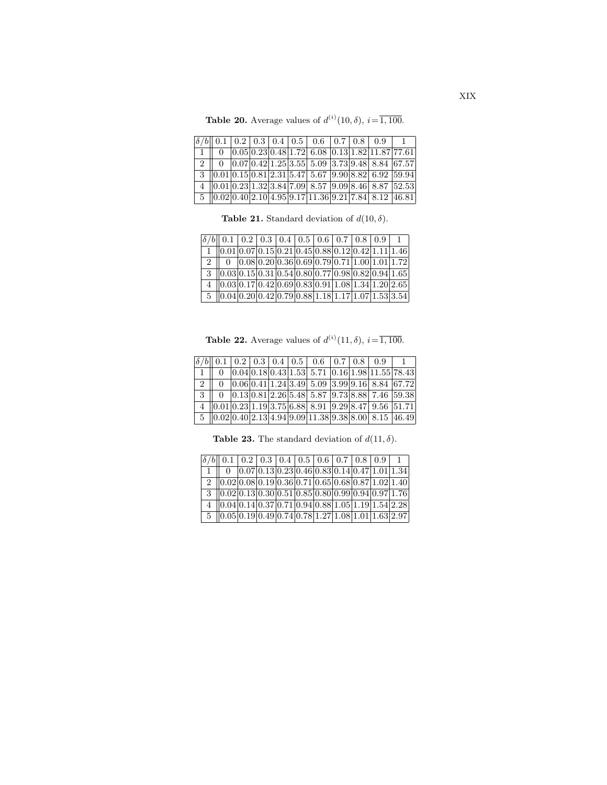**Table 20.** Average values of  $d^{(i)}(10, \delta)$ ,  $i = \overline{1, 100}$ .

|  |  |  |  | $\left \delta/b\right $ 0.1   0.2   0.3   0.4   0.5   0.6   0.7   0.8   0.9   1                                                                            |  |
|--|--|--|--|------------------------------------------------------------------------------------------------------------------------------------------------------------|--|
|  |  |  |  | $0$ $0.05$ $0.23$ $0.48$ 1.72 6.08 $0.13$ 1.82 11.87 77.61                                                                                                 |  |
|  |  |  |  | $2$ 0 0.07 0.42 1.25 3.55 5.09 3.73 9.48 8.84 67.57                                                                                                        |  |
|  |  |  |  | $3 \parallel 0.01 \parallel 0.15 \parallel 0.81 \parallel 2.31 \parallel 5.47 \parallel 5.67 \parallel 9.90 \parallel 8.82 \parallel 6.92 \parallel 59.94$ |  |
|  |  |  |  | 4 $ 0.01 0.23 1.32 3.84 7.09 8.57 9.09 8.46 8.87 52.53$                                                                                                    |  |
|  |  |  |  | $\frac{5}{10.02}$ 0.40 2.10 4.95 9.17 11.36 9.21 7.84 8.12 46.81                                                                                           |  |

**Table 21.** Standard deviation of  $d(10, \delta)$ .

| $\delta/b$ 0.1 0.2 0.3 0.4 0.5 0.6 0.7 0.8 0.9 1                                                                        |  |  |  |  |  |
|-------------------------------------------------------------------------------------------------------------------------|--|--|--|--|--|
| $1   0.01   0.07   0.15   0.21   0.45   0.88   0.12   0.42   1.11   1.46$                                               |  |  |  |  |  |
| 2   0 $ 0.08 0.20 0.36 0.69 0.79 0.71 1.00 1.01 1.72 $                                                                  |  |  |  |  |  |
| $3 \vert 0.03 \vert 0.15 \vert 0.31 \vert 0.54 \vert 0.80 \vert 0.77 \vert 0.98 \vert 0.82 \vert 0.94 \vert 1.65 \vert$ |  |  |  |  |  |
| $4   0.03 0.17 0.42 0.69 0.83 0.91 1.08 1.34 1.20 2.65$                                                                 |  |  |  |  |  |
| $\frac{5}{10.04}$ 0.20 0.42 0.79 0.88 1.18 1.17 1.07 1.53 3.54                                                          |  |  |  |  |  |

**Table 22.** Average values of  $d^{(i)}(11, \delta)$ ,  $i = \overline{1, 100}$ .

|               |  |  |  |  | $\boxed{\delta/b}\boxed{0.1}\boxed{0.2}\boxed{0.3}\boxed{0.4}\boxed{0.5}\boxed{0.6}\boxed{0.7}\boxed{0.8}\boxed{0.9}\boxed{1}$         |  |
|---------------|--|--|--|--|----------------------------------------------------------------------------------------------------------------------------------------|--|
| $1 \parallel$ |  |  |  |  | $\frac{0}{0.04}$ 0.04 0.18 0.43 1.53 5.71 0.16 1.98 11.55 78.43                                                                        |  |
|               |  |  |  |  |                                                                                                                                        |  |
|               |  |  |  |  |                                                                                                                                        |  |
|               |  |  |  |  | $4$   0.01   0.23   1.19   3.75   6.88   8.91   9.29   8.47   9.56   51.71                                                             |  |
|               |  |  |  |  | $\frac{1}{15}$ $\frac{1}{0.02}$ $\frac{0.40}{2.13}$ $\frac{4.94}{9.09}$ $\frac{11.38}{9.38}$ $\frac{8.00}{8.15}$ $\frac{46.49}{46.49}$ |  |

**Table 23.** The standard deviation of  $d(11, \delta)$ .

| $\boxed{\delta/b}$ 0.1 0.2 0.3 0.4 0.5 0.6 0.7 0.8 0.9                                                                                       |  |  |  |  |                                                                                      |
|----------------------------------------------------------------------------------------------------------------------------------------------|--|--|--|--|--------------------------------------------------------------------------------------|
|                                                                                                                                              |  |  |  |  | $0$   $0.07$   $0.13$   $0.23$   $0.46$   $0.83$   $0.14$   $0.47$   $1.01$   $1.34$ |
| $2   0.02  0.08  0.19  0.36  0.71  0.65  0.68  0.87  1.02  1.40 $                                                                            |  |  |  |  |                                                                                      |
| $3 \left[ 0.02 \right] 0.13 \left[ 0.30 \right] 0.51 \left[ 0.85 \right] 0.80 \left[ 0.99 \right] 0.94 \left[ 0.97 \right] 1.76$             |  |  |  |  |                                                                                      |
| $4$   0.04   0.14   0.37   0.71   0.94   0.88   1.05   1.19   1.54   2.28                                                                    |  |  |  |  |                                                                                      |
| $\frac{1}{5}$ $\left  0.05 \right  0.19 \left  0.49 \right  0.74 \left  0.78 \right  1.27 \left  1.08 \right  1.01 \left  1.63 \right  2.97$ |  |  |  |  |                                                                                      |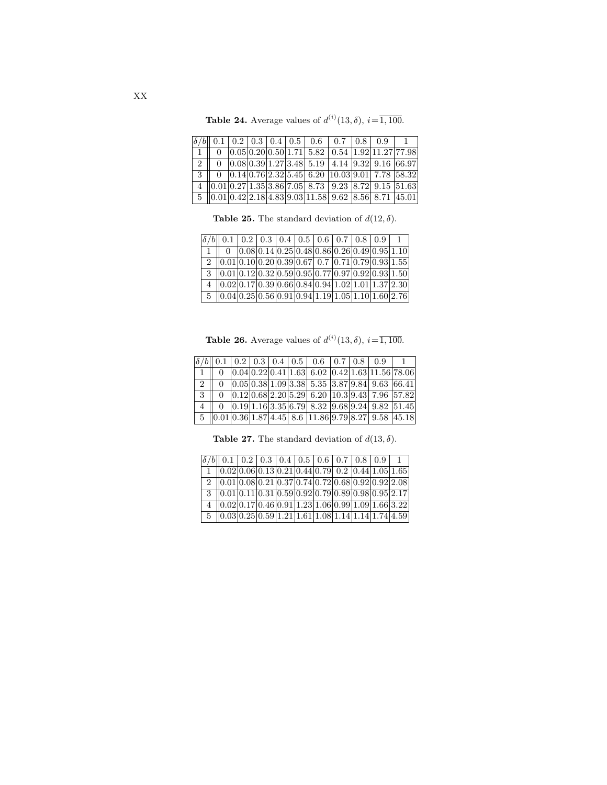|  | <b>Table 24.</b> Average values of $d^{(i)}(13, \delta)$ , $i = \overline{1,100}$ . |  |  |  |
|--|-------------------------------------------------------------------------------------|--|--|--|
|  |                                                                                     |  |  |  |

|  |  |  | $\delta/b$ 0.1 0.2 0.3 0.4 0.5 0.6 0.7 0.8 0.9 1                                                                                           |  |  |
|--|--|--|--------------------------------------------------------------------------------------------------------------------------------------------|--|--|
|  |  |  | $\vert$ 1 $\vert$ 0 $\vert$ 0.05 $\vert$ 0.20 $\vert$ 0.50 $\vert$ 1.71 $\vert$ 5.82 $\vert$ 0.54 $\vert$ 1.92 $\vert$ 11.27 $\vert$ 77.98 |  |  |
|  |  |  | 2    0 $ 0.08 0.39 1.27 3.48 5.19 4.14 9.32 9.16 66.97$                                                                                    |  |  |
|  |  |  |                                                                                                                                            |  |  |
|  |  |  | 4 $\ 0.01\ 0.27\ 1.35\ 3.86\ 7.05\ 8.73\ 9.23\ 8.72\ 9.15\ 51.63$                                                                          |  |  |
|  |  |  | $\boxed{5 \mid 0.01 \mid 0.42 \mid 2.18 \mid 4.83 \mid 9.03 \mid 11.58 \mid 9.62 \mid 8.56 \mid 8.71 \mid 45.01}$                          |  |  |

**Table 25.** The standard deviation of  $d(12, \delta)$ .

| $\delta/b$   0.1   0.2   0.3   0.4   0.5   0.6   0.7   0.8   0.9   1                                                    |                                                                                      |  |  |  |  |
|-------------------------------------------------------------------------------------------------------------------------|--------------------------------------------------------------------------------------|--|--|--|--|
|                                                                                                                         | $0$   $0.08$   $0.14$   $0.25$   $0.48$   $0.86$   $0.26$   $0.49$   $0.95$   $1.10$ |  |  |  |  |
| 2 $ 0.01 0.10 0.20 0.39 0.67 0.7 0.71 0.79 0.93 1.55 $                                                                  |                                                                                      |  |  |  |  |
| $3 \vert 0.01 \vert 0.12 \vert 0.32 \vert 0.59 \vert 0.95 \vert 0.77 \vert 0.97 \vert 0.92 \vert 0.93 \vert 1.50 \vert$ |                                                                                      |  |  |  |  |
| 4 $ 0.02 0.17 0.39 0.66 0.84 0.94 1.02 1.01 1.37 2.30 $                                                                 |                                                                                      |  |  |  |  |
| $\frac{5}{10.04}$ 0.25 0.56 0.91 0.94 1.19 1.05 1.10 1.60 2.76                                                          |                                                                                      |  |  |  |  |

**Table 26.** Average values of  $d^{(i)}(13, \delta)$ ,  $i = \overline{1, 100}$ .

|               |  |  |  |  | $\boxed{\delta/b}$ 0.1 0.2 0.3 0.4 0.5 0.6 0.7 0.8 0.9            |  |
|---------------|--|--|--|--|-------------------------------------------------------------------|--|
| $1 \parallel$ |  |  |  |  | $0$ 0.04 0.22 0.41 1.63 6.02 0.42 1.63 11.56 78.06                |  |
|               |  |  |  |  | 2    0    $0.05 0.38 1.09 3.38 5.35 3.87 9.84 9.63 66.41 $        |  |
|               |  |  |  |  |                                                                   |  |
|               |  |  |  |  | $4$ 0 0.19 1.16 3.35 6.79 8.32 9.68 9.24 9.82 51.45               |  |
|               |  |  |  |  | 5   0.01  0.36  1.87  4.45  8.6   11.86  9.79  8.27  9.58   45.18 |  |

**Table 27.** The standard deviation of  $d(13, \delta)$ .

| $\boxed{\delta/b}$ 0.1 0.2 0.3 0.4 0.5 0.6 0.7 0.8 0.9                        |  |  |  |  |  |
|-------------------------------------------------------------------------------|--|--|--|--|--|
| $1   0.02   0.06   0.13   0.21   0.44   0.79   0.2   0.44   1.05   1.65$      |  |  |  |  |  |
| $2   0.01  0.08  0.21  0.37  0.74  0.72  0.68  0.92  0.92  2.08$              |  |  |  |  |  |
| $3$   0.01   0.11   0.31   0.59   0.92   0.79   0.89   0.98   0.95   2.17     |  |  |  |  |  |
| $4$   0.02   0.17   0.46   0.91   1.23   1.06   0.99   1.09   1.66   3.22     |  |  |  |  |  |
| $5 \   0.03   0.25   0.59   1.21   1.61   1.08   1.14   1.14   1.74   4.59  $ |  |  |  |  |  |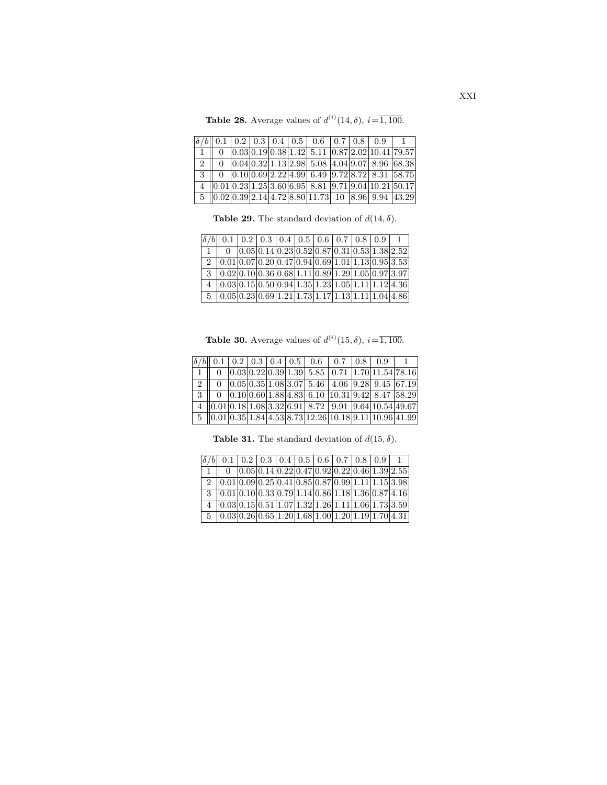**Table 28.** Average values of  $d^{(i)}(14, \delta)$ ,  $i = \overline{1, 100}$ .

|  |  |  |  | $\delta/b$ 0.1 0.2 0.3 0.4 0.5 0.6 0.7 0.8 0.9 1                                            |  |
|--|--|--|--|---------------------------------------------------------------------------------------------|--|
|  |  |  |  | $0$ $0.03$ $0.19$ $0.38$ 1.42 5.11 $0.87$ 2.02 10.41 79.57                                  |  |
|  |  |  |  | $2   0   0.04   0.32   1.13   2.98   5.08   4.04   9.07   8.96   68.38$                     |  |
|  |  |  |  | $\frac{1}{3}$   0 $\frac{1}{0.10}$   0.69   2.22   4.99   6.49   9.72   8.72   8.31   58.75 |  |
|  |  |  |  | $4   0.01 0.23 1.25 3.60 6.95 8.81 9.71 9.04 10.21 50.17$                                   |  |
|  |  |  |  | $\frac{5}{10.02}$ 0.02 0.39 2.14 4.72 8.80 11.73 10 8.96 9.94 43.29                         |  |

**Table 29.** The standard deviation of  $d(14, \delta)$ .

| $\delta/b$ 0.1 0.2 0.3 0.4 0.5 0.6 0.7 0.8 0.9 1                                                                                                       |  |  |  |  |  |
|--------------------------------------------------------------------------------------------------------------------------------------------------------|--|--|--|--|--|
| $1 \parallel 0 \parallel 0.05 \parallel 0.14 \parallel 0.23 \parallel 0.52 \parallel 0.87 \parallel 0.31 \parallel 0.53 \parallel 1.38 \parallel 2.52$ |  |  |  |  |  |
| $2   0.01 0.07 0.20 0.47 0.94 0.69 1.01 1.13 0.95 3.53 $                                                                                               |  |  |  |  |  |
| $3   0.02   0.10   0.36   0.68   1.11   0.89   1.29   1.05   0.97   3.97  $                                                                            |  |  |  |  |  |
| $4   0.03  0.15  0.50  0.94  1.35  1.23  1.05  1.11  1.12  4.36$                                                                                       |  |  |  |  |  |
| $\frac{5}{10.05}$ 0.05 0.23 0.69 1.21 1.73 1.17 1.13 1.11 1.04 4.86                                                                                    |  |  |  |  |  |

**Table 30.** Average values of  $d^{(i)}(15, \delta)$ ,  $i = \overline{1, 100}$ .

|  |  |  |  | $\delta/b$ 0.1 0.2 0.3 0.4 0.5 0.6 0.7 0.8 0.9 1                                       |  |
|--|--|--|--|----------------------------------------------------------------------------------------|--|
|  |  |  |  | $0$   $0.03$   $0.22$   $0.39$   $1.39$   $5.85$   $0.71$   $1.70$   $11.54$   $78.16$ |  |
|  |  |  |  | 2   0 $ 0.05 0.35 1.08 3.07 5.46 4.06 9.28 9.45 67.19$                                 |  |
|  |  |  |  | $3  0 0.10 0.60 1.88 4.83 6.10 10.31 9.42 8.47 58.29$                                  |  |
|  |  |  |  | $\overline{4}$   0.01 0.18 1.08 3.32 6.91 8.72 9.91 9.64 10.54 49.67                   |  |
|  |  |  |  | $5 \   0.01   0.35   1.84   4.53   8.73   12.26   10.18   9.11   10.96   41.99$        |  |

**Table 31.** The standard deviation of  $d(15, \delta)$ .

| $\delta/b$ 0.1 0.2 0.3 0.4 0.5 0.6 0.7 0.8 0.9                                                                                               |  |  |  |  |                                                  |
|----------------------------------------------------------------------------------------------------------------------------------------------|--|--|--|--|--------------------------------------------------|
|                                                                                                                                              |  |  |  |  | $ 0.05 0.14 0.22 0.47 0.92 0.22 0.46 1.39 2.55 $ |
| $2   0.01  0.09  0.25  0.41  0.85  0.87  0.99  1.11  1.15  3.98$                                                                             |  |  |  |  |                                                  |
| $3 \mid 0.01 \mid 0.10 \mid 0.33 \mid 0.79 \mid 1.14 \mid 0.86 \mid 1.18 \mid 1.36 \mid 0.87 \mid 4.16$                                      |  |  |  |  |                                                  |
| $4   0.03 0.15 0.51 1.07 1.32 1.26 1.11 1.06 1.73 3.59 $                                                                                     |  |  |  |  |                                                  |
| $\frac{1}{5}$ $\left  0.03 \right  0.26 \left  0.65 \right  1.20 \left  1.68 \right  1.00 \left  1.20 \right  1.19 \left  1.70 \right  4.31$ |  |  |  |  |                                                  |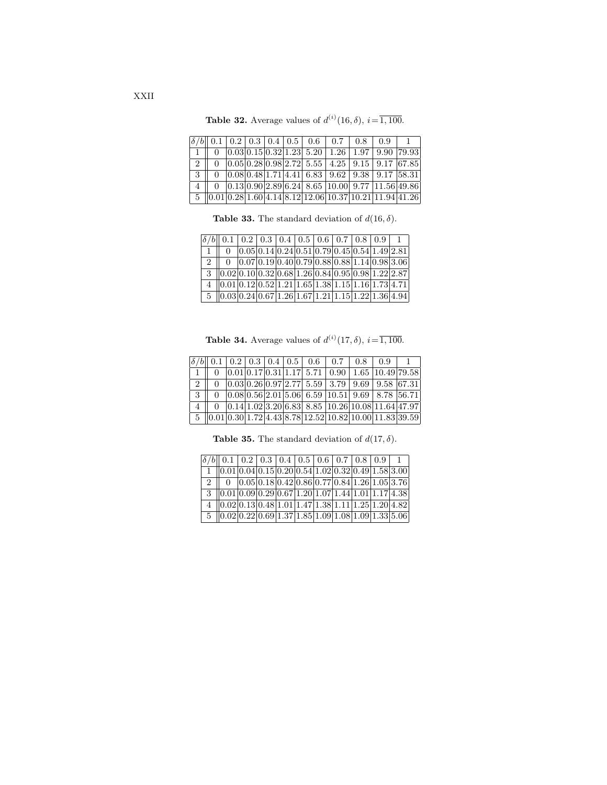|  |  |  |  | $\delta/b$ 0.1 0.2 0.3 0.4 0.5 0.6 0.7 0.8 0.9 1 |                                                                                                                                                                        |
|--|--|--|--|--------------------------------------------------|------------------------------------------------------------------------------------------------------------------------------------------------------------------------|
|  |  |  |  |                                                  | $\boxed{1}$ $\boxed{0}$ $\boxed{0.03}$ $\boxed{0.15}$ $\boxed{0.32}$ $\boxed{1.23}$ $\boxed{5.20}$ $\boxed{1.26}$ $\boxed{1.97}$ $\boxed{9.90}$ $\boxed{79.93}$        |
|  |  |  |  |                                                  | $\boxed{2}$ $\boxed{0}$ $\boxed{0.05}$ $\boxed{0.28}$ $\boxed{0.98}$ $\boxed{2.72}$ $\boxed{5.55}$ $\boxed{4.25}$ $\boxed{9.15}$ $\boxed{9.17}$ $\boxed{67.85}$        |
|  |  |  |  |                                                  | $\boxed{3}$ $\boxed{0}$ $\boxed{0.08}$ $\boxed{0.48}$ $\boxed{1.71}$ $\boxed{4.41}$ $\boxed{6.83}$ $\boxed{9.62}$ $\boxed{9.38}$ $\boxed{9.17}$ $\boxed{58.31}$        |
|  |  |  |  |                                                  | $\boxed{4}$ $\boxed{0}$ $\boxed{0.13}$ $\boxed{0.90}$ $\boxed{2.89}$ $\boxed{6.24}$ $\boxed{8.65}$ $\boxed{10.00}$ $\boxed{9.77}$ $\boxed{11.56}$ $\boxed{49.86}$      |
|  |  |  |  |                                                  | $\boxed{5}$ $\boxed{0.01}$ $\boxed{0.28}$ $\boxed{1.60}$ $\boxed{4.14}$ $\boxed{8.12}$ $\boxed{12.06}$ $\boxed{10.37}$ $\boxed{10.21}$ $\boxed{11.94}$ $\boxed{41.26}$ |

**Table 32.** Average values of  $d^{(i)}(16, \delta)$ ,  $i = \overline{1, 100}$ .

**Table 33.** The standard deviation of  $d(16, \delta)$ .

| $\delta/b$   0.1   0.2   0.3   0.4   0.5   0.6   0.7   0.8   0.9   1                                                                            |  |  |  |  |                                                                    |
|-------------------------------------------------------------------------------------------------------------------------------------------------|--|--|--|--|--------------------------------------------------------------------|
|                                                                                                                                                 |  |  |  |  | $0$ $0.05$ $0.14$ $0.24$ $0.51$ $0.79$ $0.45$ $0.54$ $1.49$ $2.81$ |
| 2 0 0.07 0.19 0.40 0.79 0.88 0.88 1.14 0.98 3.06                                                                                                |  |  |  |  |                                                                    |
| $3$   0.02  0.10  0.32  0.68  1.26  0.84  0.95  0.98  1.22  2.87                                                                                |  |  |  |  |                                                                    |
| $4   0.01 0.12 0.52 1.21 1.65 1.38 1.15 1.16 1.73 4.71$                                                                                         |  |  |  |  |                                                                    |
| $5 \left[ 0.03 \left[ 0.24 \right] 0.67 \left[ 1.26 \right] 1.67 \left[ 1.21 \right] 1.15 \left[ 1.22 \right] 1.36 \left[ 4.94 \right] \right]$ |  |  |  |  |                                                                    |

**Table 34.** Average values of  $d^{(i)}(17, \delta)$ ,  $i = \overline{1, 100}$ .

|               |  |  |  | $\delta/b$ 0.1 0.2 0.3 0.4 0.5 0.6 0.7 0.8 0.9 1                                                                                                                     |  |  |
|---------------|--|--|--|----------------------------------------------------------------------------------------------------------------------------------------------------------------------|--|--|
|               |  |  |  | $0$  0.01 0.17 0.31 1.17  5.71   0.90   1.65   10.49  79.58                                                                                                          |  |  |
| $2 \perp$     |  |  |  | $0$   $0.03$   $0.26$   $0.97$   $2.77$   $5.59$   $3.79$   $9.69$   $9.58$   $67.31$                                                                                |  |  |
| $3 \parallel$ |  |  |  | $0$ $0.08$ $0.56$ $2.01$ $5.06$ $6.59$ $10.51$ $9.69$ $8.78$ $56.71$                                                                                                 |  |  |
|               |  |  |  | $4 \parallel 0 \parallel 0.14 \parallel 1.02 \parallel 3.20 \parallel 6.83 \parallel 8.85 \parallel 10.26 \parallel 10.08 \parallel 11.64 \parallel 47.97 \parallel$ |  |  |
|               |  |  |  | $5 \  0.01 0.30 1.72 4.43 8.78 12.52 10.82 10.00 11.83 39.59 $                                                                                                       |  |  |

**Table 35.** The standard deviation of  $d(17, \delta)$ .

| $\boxed{\delta/b}\boxed{0.1}\boxed{0.2}\boxed{0.3}\boxed{0.4}\boxed{0.5}\boxed{0.6}\boxed{0.7}\boxed{0.8}\boxed{0.9}$ |  |  |  |  |  |
|-----------------------------------------------------------------------------------------------------------------------|--|--|--|--|--|
| $(0.01 0.04 0.15 0.20 0.54 1.02 0.32 0.49 1.58 3.00)$                                                                 |  |  |  |  |  |
| 2    0 $ 0.05 0.18 0.42 0.86 0.77 0.84 1.26 1.05 3.76 $                                                               |  |  |  |  |  |
| $3 \  0.01 0.09 0.29 0.67 1.20 1.07 1.44 1.01 1.17 4.38 $                                                             |  |  |  |  |  |
| $4$   0.02   0.13   0.48   1.01   1.47   1.38   1.11   1.25   1.20   4.82                                             |  |  |  |  |  |
| $5 \  0.02 0.22 0.69 1.37 1.85 1.09 1.08 1.09 1.33 5.06 $                                                             |  |  |  |  |  |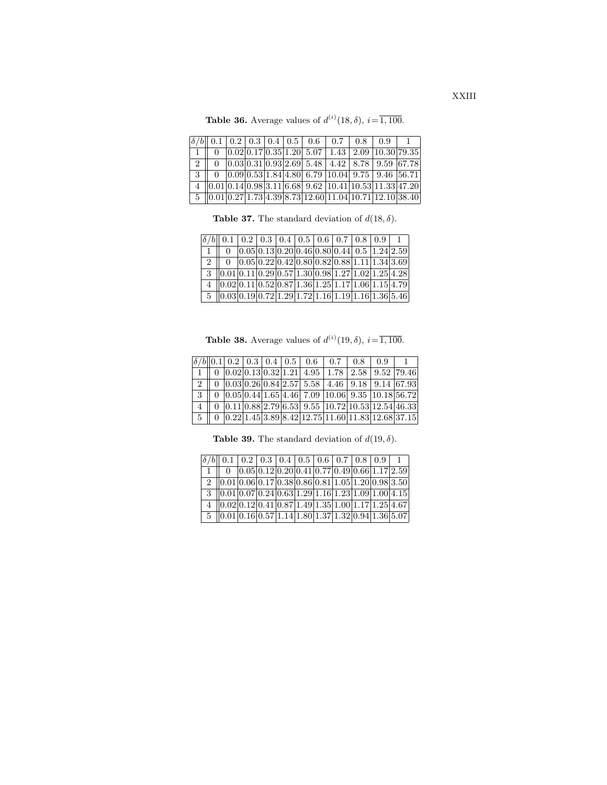**Table 36.** Average values of  $d^{(i)}(18, \delta)$ ,  $i = \overline{1, 100}$ .

|           |  |  |  | $\delta/b$ 0.1 0.2 0.3 0.4 0.5 0.6 0.7 0.8 0.9                                                              |  |  |
|-----------|--|--|--|-------------------------------------------------------------------------------------------------------------|--|--|
|           |  |  |  | $\boxed{0.02 0.17 0.35 1.20 5.07 1.43 2.09 10.30 79.35}$                                                    |  |  |
| $2 \perp$ |  |  |  | $0$   $0.03$   $0.31$   $0.93$   $2.69$   $5.48$   $4.42$   $8.78$   $9.59$   $67.78$                       |  |  |
|           |  |  |  | $3 \parallel 0 \mid 0.09 \mid 0.53 \mid 1.84 \mid 4.80 \mid 6.79 \mid 10.04 \mid 9.75 \mid 9.46 \mid 56.71$ |  |  |
|           |  |  |  | $4   0.01 0.14 0.98 3.11 6.68 9.62 10.41 10.53 11.33 47.20$                                                 |  |  |
|           |  |  |  | $\frac{5}{10.01}$ 0.27 1.73 4.39 8.73 12.60 11.04 10.71 12.10 38.40                                         |  |  |

**Table 37.** The standard deviation of  $d(18, \delta)$ .

| $\delta/b$   0.1   0.2   0.3   0.4   0.5   0.6   0.7   0.8   0.9   1                                           |                                                                                                                                                   |  |  |  |  |
|----------------------------------------------------------------------------------------------------------------|---------------------------------------------------------------------------------------------------------------------------------------------------|--|--|--|--|
|                                                                                                                | $\boxed{0}$ $\boxed{0.05}$ $\boxed{0.13}$ $\boxed{0.20}$ $\boxed{0.46}$ $\boxed{0.80}$ $\boxed{0.44}$ $\boxed{0.5}$ $\boxed{1.24}$ $\boxed{2.59}$ |  |  |  |  |
| $\boxed{2}$   0 $\boxed{0.05 \mid 0.22 \mid 0.42 \mid 0.80 \mid 0.82 \mid 0.88 \mid 1.11 \mid 1.34 \mid 3.69}$ |                                                                                                                                                   |  |  |  |  |
| $3 \mid 0.01 \mid 0.11 \mid 0.29 \mid 0.57 \mid 1.30 \mid 0.98 \mid 1.27 \mid 1.02 \mid 1.25 \mid 4.28$        |                                                                                                                                                   |  |  |  |  |
| $4   0.02 0.11 0.52 0.87 1.36 1.25 1.17 1.06 1.15 4.79$                                                        |                                                                                                                                                   |  |  |  |  |
| $5 \mid 0.03 \mid 0.19 \mid 0.72 \mid 1.29 \mid 1.72 \mid 1.16 \mid 1.19 \mid 1.16 \mid 1.36 \mid 5.46$        |                                                                                                                                                   |  |  |  |  |

**Table 38.** Average values of  $d^{(i)}(19, \delta)$ ,  $i = \overline{1, 100}$ .

|  |  |  | $\left \delta/b\right $ 0.1 0.2 0.3 0.4 0.5 0.6 0.7 0.8 0.9                                                                                                           |  |  |
|--|--|--|-----------------------------------------------------------------------------------------------------------------------------------------------------------------------|--|--|
|  |  |  | $1   0   0.02   0.13   0.32   1.21   4.95   1.78   2.58   9.52   79.46$                                                                                               |  |  |
|  |  |  | $2  0 0.03 0.26 0.84 2.57 5.58 4.46 9.18 9.14 67.93 $                                                                                                                 |  |  |
|  |  |  | $3 \parallel 0 \mid 0.05 \mid 0.44 \mid 1.65 \mid 4.46 \mid 7.09 \mid 10.06 \mid 9.35 \mid 10.18 \mid 56.72$                                                          |  |  |
|  |  |  | $4$   0 $\sqrt{0.11}$ $0.88$   $2.79$   $6.53$   $9.55$   $10.72$   $10.53$   $12.54$   $46.33$                                                                       |  |  |
|  |  |  | $5 \parallel 0 \parallel 0.22 \parallel 1.45 \parallel 3.89 \parallel 8.42 \parallel 12.75 \parallel 11.60 \parallel 11.83 \parallel 12.68 \parallel 37.15 \parallel$ |  |  |

**Table 39.** The standard deviation of  $d(19, \delta)$ .

| $\boxed{\delta/b}\boxed{0.1}\boxed{0.2}\boxed{0.3}\boxed{0.4}\boxed{0.5}\boxed{0.6}\boxed{0.7}\boxed{0.8}\boxed{0.9}$ |  |  |  |  |                                                  |
|-----------------------------------------------------------------------------------------------------------------------|--|--|--|--|--------------------------------------------------|
|                                                                                                                       |  |  |  |  | $ 0.05 0.12 0.20 0.41 0.77 0.49 0.66 1.17 2.59 $ |
| 2 $ 0.01 0.06 0.17 0.38 0.86 0.81 1.05 1.20 0.98 3.50 $                                                               |  |  |  |  |                                                  |
| $3 \mid 0.01 \mid 0.07 \mid 0.24 \mid 0.63 \mid 1.29 \mid 1.16 \mid 1.23 \mid 1.09 \mid 1.00 \mid 4.15$               |  |  |  |  |                                                  |
| $4$   0.02   0.12   0.41   0.87   1.49   1.35   1.00   1.17   1.25   4.67                                             |  |  |  |  |                                                  |
| $5 \  0.01 0.16 0.57 1.14 1.80 1.37 1.32 0.94 1.36 5.07 $                                                             |  |  |  |  |                                                  |